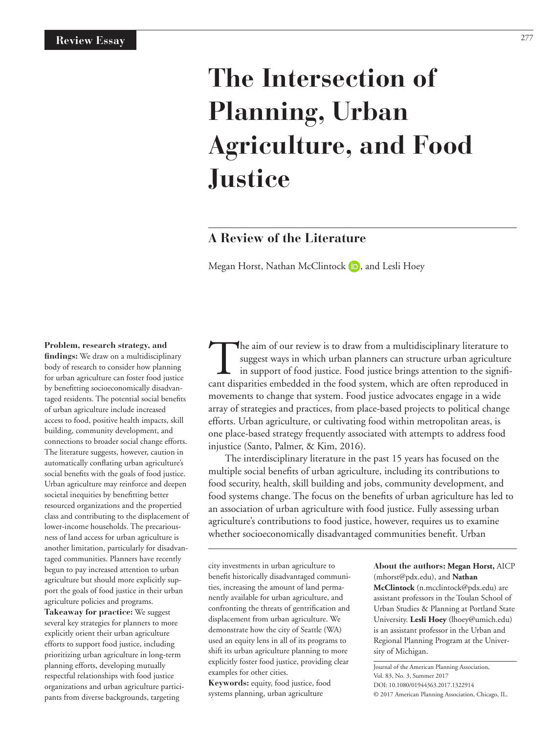# **The Intersection of Planning, Urban Agriculture, and Food Justice**

#### **A Review of the Literature**

Megan Horst, Nathan McClintock (D), and Lesli Hoey

**Problem, research strategy, and**  findings: We draw on a multidisciplinary body of research to consider how planning for urban agriculture can foster food justice by benefitting socioeconomically disadvantaged residents. The potential social benefits of urban agriculture include increased access to food, positive health impacts, skill building, community development, and connections to broader social change efforts. The literature suggests, however, caution in automatically conflating urban agriculture's social benefits with the goals of food justice. Urban agriculture may reinforce and deepen societal inequities by benefitting better resourced organizations and the propertied class and contributing to the displacement of lower-income households. The precariousness of land access for urban agriculture is another limitation, particularly for disadvantaged communities. Planners have recently begun to pay increased attention to urban agriculture but should more explicitly support the goals of food justice in their urban agriculture policies and programs. **Takeaway for practice:** We suggest several key strategies for planners to more explicitly orient their urban agriculture efforts to support food justice, including prioritizing urban agriculture in long-term planning efforts, developing mutually respectful relationships with food justice organizations and urban agriculture partici-

pants from diverse backgrounds, targeting

 The aim of our review is to draw from a multidisciplinary literature to suggest ways in which urban planners can structure urban agriculture in support of food justice. Food justice brings attention to the significant disparities embedded in the food system, which are often reproduced in movements to change that system. Food justice advocates engage in a wide array of strategies and practices, from place-based projects to political change efforts. Urban agriculture, or cultivating food within metropolitan areas, is one place-based strategy frequently associated with attempts to address food injustice (Santo, Palmer, & Kim, 2016).

 The interdisciplinary literature in the past 15 years has focused on the multiple social benefits of urban agriculture, including its contributions to food security, health, skill building and jobs, community development, and food systems change. The focus on the benefits of urban agriculture has led to an association of urban agriculture with food justice. Fully assessing urban agriculture's contributions to food justice, however, requires us to examine whether socioeconomically disadvantaged communities benefit. Urban

city investments in urban agriculture to benefit historically disadvantaged communities, increasing the amount of land permanently available for urban agriculture, and confronting the threats of gentrification and displacement from urban agriculture. We demonstrate how the city of Seattle (WA) used an equity lens in all of its programs to shift its urban agriculture planning to more explicitly foster food justice, providing clear examples for other cities.

**Keywords:** equity, food justice, food systems planning, urban agriculture

**About the authors: Megan Horst,** AICP ( mhorst@pdx.edu ), and **Nathan McClintock** (n.mcclintock@pdx.edu) are assistant professors in the Toulan School of Urban Studies & Planning at Portland State University. Lesli Hoey (lhoey@umich.edu) is an assistant professor in the Urban and Regional Planning Program at the University of Michigan.

 Journal of the American Planning Association, Vol. 83 , No. 3 , Summer 2017 DOI: 10.1080/01944363.2017.1322914 © 2017 American Planning Association, Chicago, IL.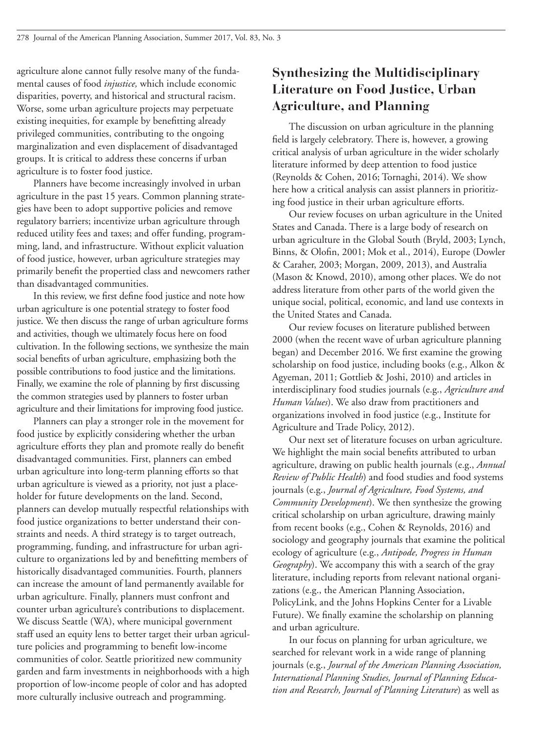agriculture alone cannot fully resolve many of the fundamental causes of food *injustice,* which include economic disparities, poverty, and historical and structural racism. Worse, some urban agriculture projects may perpetuate existing inequities, for example by benefitting already privileged communities, contributing to the ongoing marginalization and even displacement of disadvantaged groups. It is critical to address these concerns if urban agriculture is to foster food justice.

 Planners have become increasingly involved in urban agriculture in the past 15 years. Common planning strategies have been to adopt supportive policies and remove regulatory barriers; incentivize urban agriculture through reduced utility fees and taxes; and offer funding, programming, land, and infrastructure. Without explicit valuation of food justice, however, urban agriculture strategies may primarily benefit the propertied class and newcomers rather than disadvantaged communities.

In this review, we first define food justice and note how urban agriculture is one potential strategy to foster food justice. We then discuss the range of urban agriculture forms and activities, though we ultimately focus here on food cultivation. In the following sections, we synthesize the main social benefits of urban agriculture, emphasizing both the possible contributions to food justice and the limitations. Finally, we examine the role of planning by first discussing the common strategies used by planners to foster urban agriculture and their limitations for improving food justice.

 Planners can play a stronger role in the movement for food justice by explicitly considering whether the urban agriculture efforts they plan and promote really do benefit disadvantaged communities. First, planners can embed urban agriculture into long-term planning efforts so that urban agriculture is viewed as a priority, not just a placeholder for future developments on the land. Second, planners can develop mutually respectful relationships with food justice organizations to better understand their constraints and needs. A third strategy is to target outreach, programming, funding, and infrastructure for urban agriculture to organizations led by and benefitting members of historically disadvantaged communities. Fourth, planners can increase the amount of land permanently available for urban agriculture. Finally, planners must confront and counter urban agriculture's contributions to displacement. We discuss Seattle (WA), where municipal government staff used an equity lens to better target their urban agriculture policies and programming to benefit low-income communities of color. Seattle prioritized new community garden and farm investments in neighborhoods with a high proportion of low-income people of color and has adopted more culturally inclusive outreach and programming.

# **Synthesizing the Multidisciplinary Literature on Food Justice, Urban Agriculture, and Planning**

 The discussion on urban agriculture in the planning field is largely celebratory. There is, however, a growing critical analysis of urban agriculture in the wider scholarly literature informed by deep attention to food justice (Reynolds & Cohen, 2016; Tornaghi, 2014). We show here how a critical analysis can assist planners in prioritizing food justice in their urban agriculture efforts.

 Our review focuses on urban agriculture in the United States and Canada. There is a large body of research on urban agriculture in the Global South (Bryld, 2003; Lynch, Binns, & Olofin, 2001; Mok et al., 2014), Europe (Dowler & Caraher, 2003; Morgan, 2009, 2013), and Australia (Mason & Knowd, 2010), among other places. We do not address literature from other parts of the world given the unique social, political, economic, and land use contexts in the United States and Canada.

 Our review focuses on literature published between 2000 (when the recent wave of urban agriculture planning began) and December 2016. We first examine the growing scholarship on food justice, including books (e.g., Alkon & Agyeman, 2011; Gottlieb & Joshi, 2010) and articles in interdisciplinary food studies journals (e.g., *Agriculture and*  Human Values). We also draw from practitioners and organizations involved in food justice (e.g., Institute for Agriculture and Trade Policy, 2012).

 Our next set of literature focuses on urban agriculture. We highlight the main social benefits attributed to urban agriculture, drawing on public health journals (e.g., *Annual Review of Public Health*) and food studies and food systems journals (e.g., *Journal of Agriculture, Food Systems, and Community Development*). We then synthesize the growing critical scholarship on urban agriculture, drawing mainly from recent books (e.g., Cohen & Reynolds, 2016) and sociology and geography journals that examine the political ecology of agriculture (e.g., *Antipode, Progress in Human Geography*). We accompany this with a search of the gray literature, including reports from relevant national organizations (e.g., the American Planning Association, PolicyLink, and the Johns Hopkins Center for a Livable Future). We finally examine the scholarship on planning and urban agriculture.

 In our focus on planning for urban agriculture, we searched for relevant work in a wide range of planning journals (e.g., *Journal of the American Planning Association, International Planning Studies, Journal of Planning Education and Research, Journal of Planning Literature*) as well as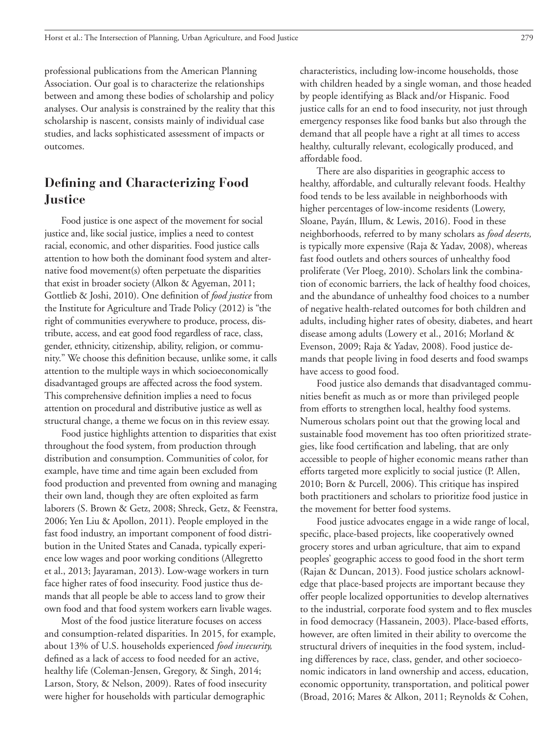professional publications from the American Planning Association. Our goal is to characterize the relationships between and among these bodies of scholarship and policy analyses. Our analysis is constrained by the reality that this scholarship is nascent, consists mainly of individual case studies, and lacks sophisticated assessment of impacts or outcomes.

### **Defining and Characterizing Food Justice**

 Food justice is one aspect of the movement for social justice and, like social justice, implies a need to contest racial, economic, and other disparities. Food justice calls attention to how both the dominant food system and alternative food movement(s) often perpetuate the disparities that exist in broader society (Alkon & Agyeman, 2011 ; Gottlieb & Joshi, 2010). One definition of *food justice* from the Institute for Agriculture and Trade Policy (2012) is "the right of communities everywhere to produce, process, distribute, access, and eat good food regardless of race, class, gender, ethnicity, citizenship, ability, religion, or community." We choose this definition because, unlike some, it calls attention to the multiple ways in which socioeconomically disadvantaged groups are affected across the food system. This comprehensive definition implies a need to focus attention on procedural and distributive justice as well as structural change, a theme we focus on in this review essay.

 Food justice highlights attention to disparities that exist throughout the food system, from production through distribution and consumption. Communities of color, for example, have time and time again been excluded from food production and prevented from owning and managing their own land, though they are often exploited as farm laborers (S. Brown & Getz, 2008; Shreck, Getz, & Feenstra, 2006; Yen Liu & Apollon, 2011). People employed in the fast food industry, an important component of food distribution in the United States and Canada, typically experience low wages and poor working conditions (Allegretto et al., 2013; Jayaraman, 2013). Low-wage workers in turn face higher rates of food insecurity. Food justice thus demands that all people be able to access land to grow their own food and that food system workers earn livable wages.

 Most of the food justice literature focuses on access and consumption-related disparities. In 2015, for example, about 13% of U.S. households experienced *food insecurity,* defined as a lack of access to food needed for an active, healthy life (Coleman-Jensen, Gregory, & Singh, 2014; Larson, Story, & Nelson, 2009). Rates of food insecurity were higher for households with particular demographic

characteristics, including low-income households, those with children headed by a single woman, and those headed by people identifying as Black and/or Hispanic. Food justice calls for an end to food insecurity, not just through emergency responses like food banks but also through the demand that all people have a right at all times to access healthy, culturally relevant, ecologically produced, and affordable food.

 There are also disparities in geographic access to healthy, affordable, and culturally relevant foods. Healthy food tends to be less available in neighborhoods with higher percentages of low-income residents (Lowery, Sloane, Payán, Illum, & Lewis, 2016). Food in these neighborhoods, referred to by many scholars as *food deserts,* is typically more expensive (Raja & Yadav, 2008), whereas fast food outlets and others sources of unhealthy food proliferate (Ver Ploeg, 2010). Scholars link the combination of economic barriers, the lack of healthy food choices, and the abundance of unhealthy food choices to a number of negative health-related outcomes for both children and adults, including higher rates of obesity, diabetes, and heart disease among adults (Lowery et al., 2016; Morland & Evenson, 2009; Raja & Yadav, 2008). Food justice demands that people living in food deserts and food swamps have access to good food.

 Food justice also demands that disadvantaged communities benefit as much as or more than privileged people from efforts to strengthen local, healthy food systems. Numerous scholars point out that the growing local and sustainable food movement has too often prioritized strategies, like food certification and labeling, that are only accessible to people of higher economic means rather than efforts targeted more explicitly to social justice (P. Allen, 2010; Born & Purcell, 2006). This critique has inspired both practitioners and scholars to prioritize food justice in the movement for better food systems.

 Food justice advocates engage in a wide range of local, specific, place-based projects, like cooperatively owned grocery stores and urban agriculture, that aim to expand peoples' geographic access to good food in the short term (Rajan & Duncan, 2013). Food justice scholars acknowledge that place-based projects are important because they offer people localized opportunities to develop alternatives to the industrial, corporate food system and to flex muscles in food democracy (Hassanein, 2003). Place-based efforts, however, are often limited in their ability to overcome the structural drivers of inequities in the food system, including differences by race, class, gender, and other socioeconomic indicators in land ownership and access, education, economic opportunity, transportation, and political power (Broad, 2016; Mares & Alkon, 2011; Reynolds & Cohen,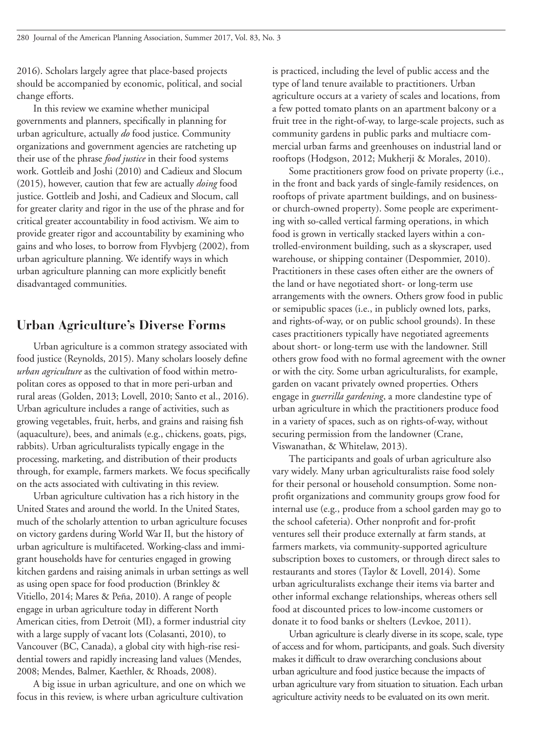2016). Scholars largely agree that place-based projects should be accompanied by economic, political, and social change efforts.

 In this review we examine whether municipal governments and planners, specifically in planning for urban agriculture, actually *do* food justice. Community organizations and government agencies are ratcheting up their use of the phrase *food justice* in their food systems work. Gottleib and Joshi (2010) and Cadieux and Slocum (2015), however, caution that few are actually *doing* food justice. Gottleib and Joshi, and Cadieux and Slocum, call for greater clarity and rigor in the use of the phrase and for critical greater accountability in food activism. We aim to provide greater rigor and accountability by examining who gains and who loses, to borrow from Flyvbjerg (2002), from urban agriculture planning. We identify ways in which urban agriculture planning can more explicitly benefit disadvantaged communities.

#### **Urban Agriculture's Diverse Forms**

 Urban agriculture is a common strategy associated with food justice (Reynolds, 2015). Many scholars loosely define *urban agriculture* as the cultivation of food within metropolitan cores as opposed to that in more peri-urban and rural areas (Golden, 2013; Lovell, 2010; Santo et al., 2016). Urban agriculture includes a range of activities, such as growing vegetables, fruit, herbs, and grains and raising fish (aquaculture), bees, and animals (e.g., chickens, goats, pigs, rabbits). Urban agriculturalists typically engage in the processing, marketing, and distribution of their products through, for example, farmers markets. We focus specifically on the acts associated with cultivating in this review.

 Urban agriculture cultivation has a rich history in the United States and around the world. In the United States, much of the scholarly attention to urban agriculture focuses on victory gardens during World War II, but the history of urban agriculture is multifaceted. Working-class and immigrant households have for centuries engaged in growing kitchen gardens and raising animals in urban settings as well as using open space for food production (Brinkley & Vitiello, 2014; Mares & Peña, 2010). A range of people engage in urban agriculture today in different North American cities, from Detroit (MI), a former industrial city with a large supply of vacant lots (Colasanti, 2010), to Vancouver (BC, Canada), a global city with high-rise residential towers and rapidly increasing land values (Mendes, 2008; Mendes, Balmer, Kaethler, & Rhoads, 2008).

 A big issue in urban agriculture, and one on which we focus in this review, is where urban agriculture cultivation

is practiced, including the level of public access and the type of land tenure available to practitioners. Urban agriculture occurs at a variety of scales and locations, from a few potted tomato plants on an apartment balcony or a fruit tree in the right-of-way, to large-scale projects, such as community gardens in public parks and multiacre commercial urban farms and greenhouses on industrial land or rooftops (Hodgson, 2012; Mukherji & Morales, 2010).

 Some practitioners grow food on private property (i.e., in the front and back yards of single-family residences, on rooftops of private apartment buildings, and on businessor church-owned property). Some people are experimenting with so-called vertical farming operations, in which food is grown in vertically stacked layers within a controlled-environment building, such as a skyscraper, used warehouse, or shipping container (Despommier, 2010). Practitioners in these cases often either are the owners of the land or have negotiated short- or long-term use arrangements with the owners. Others grow food in public or semipublic spaces (i.e., in publicly owned lots, parks, and rights-of-way, or on public school grounds). In these cases practitioners typically have negotiated agreements about short- or long-term use with the landowner. Still others grow food with no formal agreement with the owner or with the city. Some urban agriculturalists, for example, garden on vacant privately owned properties. Others engage in *guerrilla gardening*, a more clandestine type of urban agriculture in which the practitioners produce food in a variety of spaces, such as on rights-of-way, without securing permission from the landowner (Crane, Viswanathan, & Whitelaw, 2013).

 The participants and goals of urban agriculture also vary widely. Many urban agriculturalists raise food solely for their personal or household consumption. Some nonprofit organizations and community groups grow food for internal use (e.g., produce from a school garden may go to the school cafeteria). Other nonprofit and for-profit ventures sell their produce externally at farm stands, at farmers markets, via community-supported agriculture subscription boxes to customers, or through direct sales to restaurants and stores (Taylor & Lovell, 2014). Some urban agriculturalists exchange their items via barter and other informal exchange relationships, whereas others sell food at discounted prices to low-income customers or donate it to food banks or shelters (Levkoe, 2011).

 Urban agriculture is clearly diverse in its scope, scale, type of access and for whom, participants, and goals. Such diversity makes it difficult to draw overarching conclusions about urban agriculture and food justice because the impacts of urban agriculture vary from situation to situation. Each urban agriculture activity needs to be evaluated on its own merit.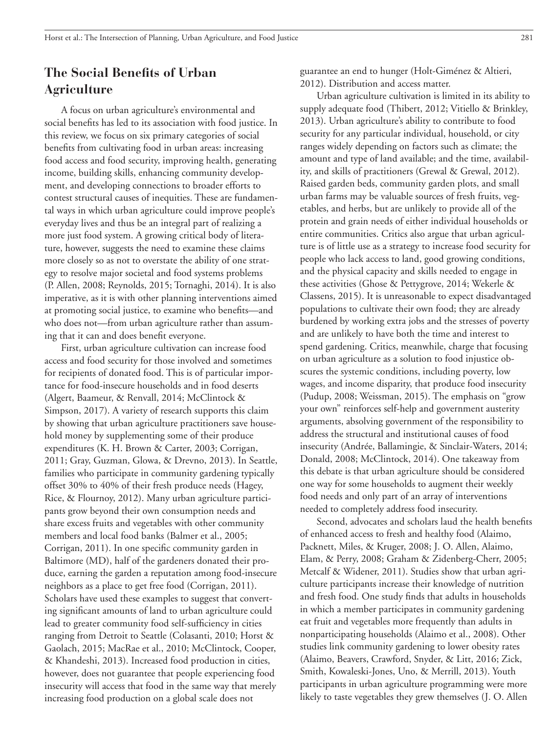# **The Social Benefits of Urban Agriculture**

 A focus on urban agriculture's environmental and social benefits has led to its association with food justice. In this review, we focus on six primary categories of social benefits from cultivating food in urban areas: increasing food access and food security, improving health, generating income, building skills, enhancing community development, and developing connections to broader efforts to contest structural causes of inequities. These are fundamental ways in which urban agriculture could improve people's everyday lives and thus be an integral part of realizing a more just food system. A growing critical body of literature, however, suggests the need to examine these claims more closely so as not to overstate the ability of one strategy to resolve major societal and food systems problems (P. Allen, 2008; Reynolds, 2015; Tornaghi, 2014). It is also imperative, as it is with other planning interventions aimed at promoting social justice, to examine who benefits—and who does not—from urban agriculture rather than assuming that it can and does benefit everyone.

 First, urban agriculture cultivation can increase food access and food security for those involved and sometimes for recipients of donated food. This is of particular importance for food-insecure households and in food deserts (Algert, Baameur, & Renvall, 2014; McClintock & Simpson, 2017). A variety of research supports this claim by showing that urban agriculture practitioners save household money by supplementing some of their produce expenditures (K. H. Brown & Carter, 2003; Corrigan, 2011; Gray, Guzman, Glowa, & Drevno, 2013). In Seattle, families who participate in community gardening typically offset 30% to 40% of their fresh produce needs (Hagey, Rice, & Flournoy, 2012). Many urban agriculture participants grow beyond their own consumption needs and share excess fruits and vegetables with other community members and local food banks (Balmer et al., 2005; Corrigan, 2011). In one specific community garden in Baltimore (MD), half of the gardeners donated their produce, earning the garden a reputation among food-insecure neighbors as a place to get free food (Corrigan, 2011). Scholars have used these examples to suggest that converting significant amounts of land to urban agriculture could lead to greater community food self-sufficiency in cities ranging from Detroit to Seattle (Colasanti, 2010; Horst & Gaolach, 2015; MacRae et al., 2010; McClintock, Cooper, & Khandeshi, 2013). Increased food production in cities, however, does not guarantee that people experiencing food insecurity will access that food in the same way that merely increasing food production on a global scale does not

guarantee an end to hunger (Holt-Giménez & Altieri, 2012). Distribution and access matter.

 Urban agriculture cultivation is limited in its ability to supply adequate food (Thibert, 2012; Vitiello & Brinkley, 2013). Urban agriculture's ability to contribute to food security for any particular individual, household, or city ranges widely depending on factors such as climate; the amount and type of land available; and the time, availability, and skills of practitioners (Grewal & Grewal, 2012). Raised garden beds, community garden plots, and small urban farms may be valuable sources of fresh fruits, vegetables, and herbs, but are unlikely to provide all of the protein and grain needs of either individual households or entire communities. Critics also argue that urban agriculture is of little use as a strategy to increase food security for people who lack access to land, good growing conditions, and the physical capacity and skills needed to engage in these activities (Ghose & Pettygrove, 2014; Wekerle & Classens, 2015). It is unreasonable to expect disadvantaged populations to cultivate their own food; they are already burdened by working extra jobs and the stresses of poverty and are unlikely to have both the time and interest to spend gardening. Critics, meanwhile, charge that focusing on urban agriculture as a solution to food injustice obscures the systemic conditions, including poverty, low wages, and income disparity, that produce food insecurity (Pudup, 2008; Weissman, 2015). The emphasis on "grow your own" reinforces self-help and government austerity arguments, absolving government of the responsibility to address the structural and institutional causes of food insecurity (Andrée, Ballamingie, & Sinclair-Waters, 2014; Donald, 2008; McClintock, 2014). One takeaway from this debate is that urban agriculture should be considered one way for some households to augment their weekly food needs and only part of an array of interventions needed to completely address food insecurity.

Second, advocates and scholars laud the health benefits of enhanced access to fresh and healthy food (Alaimo, Packnett, Miles, & Kruger, 2008; J. O. Allen, Alaimo, Elam, & Perry, 2008; Graham & Zidenberg-Cherr, 2005; Metcalf & Widener, 2011). Studies show that urban agriculture participants increase their knowledge of nutrition and fresh food. One study finds that adults in households in which a member participates in community gardening eat fruit and vegetables more frequently than adults in nonparticipating households (Alaimo et al., 2008). Other studies link community gardening to lower obesity rates (Alaimo, Beavers, Crawford, Snyder, & Litt, 2016; Zick, Smith, Kowaleski-Jones, Uno, & Merrill, 2013). Youth participants in urban agriculture programming were more likely to taste vegetables they grew themselves (J. O. Allen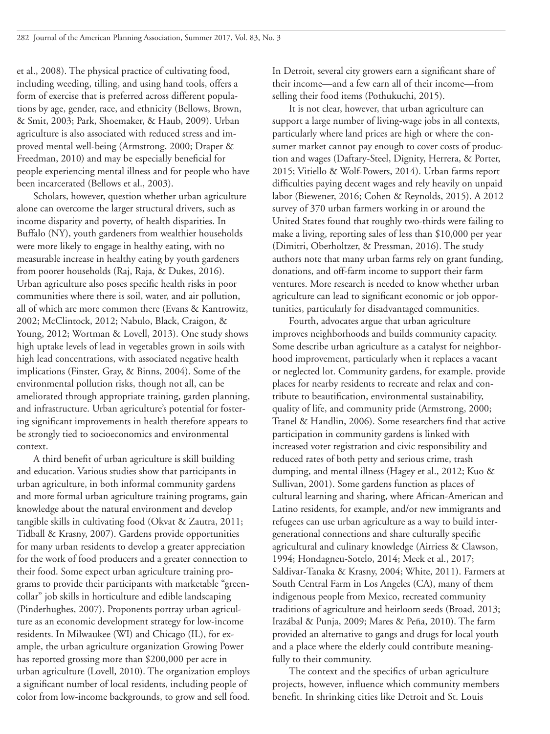et al., 2008). The physical practice of cultivating food, including weeding, tilling, and using hand tools, offers a form of exercise that is preferred across different populations by age, gender, race, and ethnicity (Bellows, Brown, & Smit, 2003; Park, Shoemaker, & Haub, 2009). Urban agriculture is also associated with reduced stress and improved mental well-being (Armstrong, 2000; Draper & Freedman, 2010) and may be especially beneficial for people experiencing mental illness and for people who have been incarcerated (Bellows et al., 2003).

 Scholars, however, question whether urban agriculture alone can overcome the larger structural drivers, such as income disparity and poverty, of health disparities. In Buffalo (NY), youth gardeners from wealthier households were more likely to engage in healthy eating, with no measurable increase in healthy eating by youth gardeners from poorer households (Raj, Raja, & Dukes, 2016). Urban agriculture also poses specific health risks in poor communities where there is soil, water, and air pollution, all of which are more common there (Evans & Kantrowitz, 2002; McClintock, 2012; Nabulo, Black, Craigon, & Young, 2012; Wortman & Lovell, 2013). One study shows high uptake levels of lead in vegetables grown in soils with high lead concentrations, with associated negative health implications (Finster, Gray, & Binns, 2004). Some of the environmental pollution risks, though not all, can be ameliorated through appropriate training, garden planning, and infrastructure. Urban agriculture's potential for fostering significant improvements in health therefore appears to be strongly tied to socioeconomics and environmental context.

A third benefit of urban agriculture is skill building and education. Various studies show that participants in urban agriculture, in both informal community gardens and more formal urban agriculture training programs, gain knowledge about the natural environment and develop tangible skills in cultivating food (Okvat & Zautra, 2011 ; Tidball & Krasny, 2007). Gardens provide opportunities for many urban residents to develop a greater appreciation for the work of food producers and a greater connection to their food. Some expect urban agriculture training programs to provide their participants with marketable "greencollar" job skills in horticulture and edible landscaping (Pinderhughes, 2007). Proponents portray urban agriculture as an economic development strategy for low-income residents. In Milwaukee (WI) and Chicago (IL), for example, the urban agriculture organization Growing Power has reported grossing more than \$200,000 per acre in urban agriculture (Lovell, 2010). The organization employs a significant number of local residents, including people of color from low-income backgrounds, to grow and sell food. In Detroit, several city growers earn a significant share of their income—and a few earn all of their income—from selling their food items (Pothukuchi, 2015).

 It is not clear, however, that urban agriculture can support a large number of living-wage jobs in all contexts, particularly where land prices are high or where the consumer market cannot pay enough to cover costs of production and wages (Daftary-Steel, Dignity, Herrera, & Porter, 2015; Vitiello & Wolf-Powers, 2014). Urban farms report difficulties paying decent wages and rely heavily on unpaid labor (Biewener, 2016; Cohen & Reynolds, 2015). A 2012 survey of 370 urban farmers working in or around the United States found that roughly two-thirds were failing to make a living, reporting sales of less than \$10,000 per year (Dimitri, Oberholtzer, & Pressman, 2016). The study authors note that many urban farms rely on grant funding, donations, and off-farm income to support their farm ventures. More research is needed to know whether urban agriculture can lead to significant economic or job opportunities, particularly for disadvantaged communities.

 Fourth, advocates argue that urban agriculture improves neighborhoods and builds community capacity. Some describe urban agriculture as a catalyst for neighborhood improvement, particularly when it replaces a vacant or neglected lot. Community gardens, for example, provide places for nearby residents to recreate and relax and contribute to beautification, environmental sustainability, quality of life, and community pride (Armstrong, 2000; Tranel & Handlin, 2006). Some researchers find that active participation in community gardens is linked with increased voter registration and civic responsibility and reduced rates of both petty and serious crime, trash dumping, and mental illness (Hagey et al., 2012; Kuo & Sullivan, 2001). Some gardens function as places of cultural learning and sharing, where African-American and Latino residents, for example, and/or new immigrants and refugees can use urban agriculture as a way to build intergenerational connections and share culturally specific agricultural and culinary knowledge (Airriess & Clawson, 1994; Hondagneu-Sotelo, 2014; Meek et al., 2017; Saldivar-Tanaka & Krasny, 2004; White, 2011). Farmers at South Central Farm in Los Angeles (CA), many of them indigenous people from Mexico, recreated community traditions of agriculture and heirloom seeds (Broad, 2013; Irazábal & Punja, 2009; Mares & Peña, 2010). The farm provided an alternative to gangs and drugs for local youth and a place where the elderly could contribute meaningfully to their community.

The context and the specifics of urban agriculture projects, however, influence which community members benefit. In shrinking cities like Detroit and St. Louis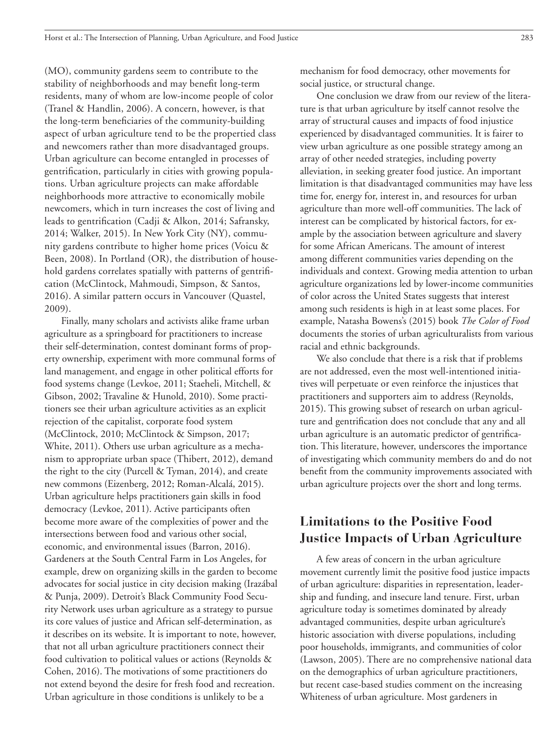(MO), community gardens seem to contribute to the stability of neighborhoods and may benefit long-term residents, many of whom are low-income people of color (Tranel & Handlin, 2006). A concern, however, is that the long-term beneficiaries of the community-building aspect of urban agriculture tend to be the propertied class and newcomers rather than more disadvantaged groups. Urban agriculture can become entangled in processes of gentrification, particularly in cities with growing populations. Urban agriculture projects can make affordable neighborhoods more attractive to economically mobile newcomers, which in turn increases the cost of living and leads to gentrification (Cadji & Alkon, 2014; Safransky, 2014; Walker, 2015). In New York City (NY), community gardens contribute to higher home prices (Voicu & Been, 2008). In Portland (OR), the distribution of household gardens correlates spatially with patterns of gentrification ( McClintock, Mahmoudi, Simpson, & Santos, 2016). A similar pattern occurs in Vancouver (Quastel, 2009).

 Finally, many scholars and activists alike frame urban agriculture as a springboard for practitioners to increase their self-determination, contest dominant forms of property ownership, experiment with more communal forms of land management, and engage in other political efforts for food systems change (Levkoe, 2011 ; Staeheli, Mitchell, & Gibson, 2002; Travaline & Hunold, 2010). Some practitioners see their urban agriculture activities as an explicit rejection of the capitalist, corporate food system (McClintock, 2010; McClintock & Simpson, 2017; White, 2011). Others use urban agriculture as a mechanism to appropriate urban space (Thibert, 2012), demand the right to the city (Purcell  $&$  Tyman, 2014), and create new commons (Eizenberg, 2012; Roman-Alcalá, 2015). Urban agriculture helps practitioners gain skills in food democracy (Levkoe, 2011). Active participants often become more aware of the complexities of power and the intersections between food and various other social, economic, and environmental issues (Barron, 2016). Gardeners at the South Central Farm in Los Angeles, for example, drew on organizing skills in the garden to become advocates for social justice in city decision making (Irazábal & Punja, 2009). Detroit's Black Community Food Security Network uses urban agriculture as a strategy to pursue its core values of justice and African self-determination, as it describes on its website. It is important to note, however, that not all urban agriculture practitioners connect their food cultivation to political values or actions (Reynolds & Cohen, 2016). The motivations of some practitioners do not extend beyond the desire for fresh food and recreation. Urban agriculture in those conditions is unlikely to be a

mechanism for food democracy, other movements for social justice, or structural change.

 One conclusion we draw from our review of the literature is that urban agriculture by itself cannot resolve the array of structural causes and impacts of food injustice experienced by disadvantaged communities. It is fairer to view urban agriculture as one possible strategy among an array of other needed strategies, including poverty alleviation, in seeking greater food justice. An important limitation is that disadvantaged communities may have less time for, energy for, interest in, and resources for urban agriculture than more well-off communities. The lack of interest can be complicated by historical factors, for example by the association between agriculture and slavery for some African Americans. The amount of interest among different communities varies depending on the individuals and context. Growing media attention to urban agriculture organizations led by lower-income communities of color across the United States suggests that interest among such residents is high in at least some places. For example, Natasha Bowens's ( 2015 ) book *The Color of Food* documents the stories of urban agriculturalists from various racial and ethnic backgrounds.

 We also conclude that there is a risk that if problems are not addressed, even the most well-intentioned initiatives will perpetuate or even reinforce the injustices that practitioners and supporters aim to address (Reynolds, 2015). This growing subset of research on urban agriculture and gentrification does not conclude that any and all urban agriculture is an automatic predictor of gentrification. This literature, however, underscores the importance of investigating which community members do and do not benefit from the community improvements associated with urban agriculture projects over the short and long terms.

### **Limitations to the Positive Food Justice Impacts of Urban Agriculture**

 A few areas of concern in the urban agriculture movement currently limit the positive food justice impacts of urban agriculture: disparities in representation, leadership and funding, and insecure land tenure. First, urban agriculture today is sometimes dominated by already advantaged communities, despite urban agriculture's historic association with diverse populations, including poor households, immigrants, and communities of color (Lawson, 2005). There are no comprehensive national data on the demographics of urban agriculture practitioners, but recent case-based studies comment on the increasing Whiteness of urban agriculture. Most gardeners in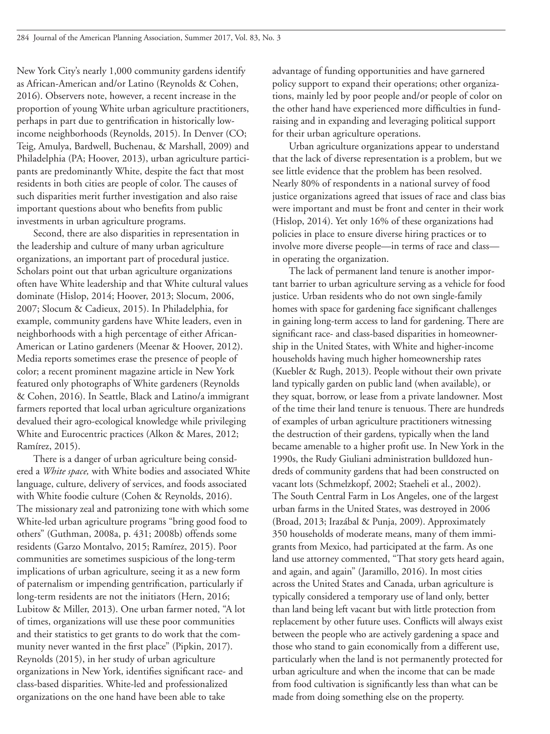New York City's nearly 1,000 community gardens identify as African-American and/or Latino (Reynolds & Cohen, 2016). Observers note, however, a recent increase in the proportion of young White urban agriculture practitioners, perhaps in part due to gentrification in historically lowincome neighborhoods (Reynolds, 2015). In Denver (CO; Teig, Amulya, Bardwell, Buchenau, & Marshall, 2009) and Philadelphia (PA; Hoover, 2013), urban agriculture participants are predominantly White, despite the fact that most residents in both cities are people of color. The causes of such disparities merit further investigation and also raise important questions about who benefits from public investments in urban agriculture programs.

 Second, there are also disparities in representation in the leadership and culture of many urban agriculture organizations, an important part of procedural justice. Scholars point out that urban agriculture organizations often have White leadership and that White cultural values dominate (Hislop, 2014; Hoover, 2013; Slocum, 2006, 2007; Slocum & Cadieux, 2015). In Philadelphia, for example, community gardens have White leaders, even in neighborhoods with a high percentage of either African-American or Latino gardeners (Meenar & Hoover, 2012). Media reports sometimes erase the presence of people of color; a recent prominent magazine article in New York featured only photographs of White gardeners (Reynolds & Cohen, 2016). In Seattle, Black and Latino/a immigrant farmers reported that local urban agriculture organizations devalued their agro-ecological knowledge while privileging White and Eurocentric practices (Alkon & Mares, 2012; Ramírez, 2015).

 There is a danger of urban agriculture being considered a *White space,* with White bodies and associated White language, culture, delivery of services, and foods associated with White foodie culture (Cohen & Reynolds, 2016). The missionary zeal and patronizing tone with which some White-led urban agriculture programs "bring good food to others" (Guthman, 2008a, p. 431; 2008b) offends some residents (Garzo Montalvo, 2015; Ramírez, 2015). Poor communities are sometimes suspicious of the long-term implications of urban agriculture, seeing it as a new form of paternalism or impending gentrification, particularly if long-term residents are not the initiators (Hern, 2016; Lubitow & Miller, 2013). One urban farmer noted, "A lot of times, organizations will use these poor communities and their statistics to get grants to do work that the community never wanted in the first place" (Pipkin, 2017). Reynolds (2015), in her study of urban agriculture organizations in New York, identifies significant race- and class-based disparities. White-led and professionalized organizations on the one hand have been able to take

advantage of funding opportunities and have garnered policy support to expand their operations; other organizations, mainly led by poor people and/or people of color on the other hand have experienced more difficulties in fundraising and in expanding and leveraging political support for their urban agriculture operations.

 Urban agriculture organizations appear to understand that the lack of diverse representation is a problem, but we see little evidence that the problem has been resolved. Nearly 80% of respondents in a national survey of food justice organizations agreed that issues of race and class bias were important and must be front and center in their work (Hislop, 2014). Yet only 16% of these organizations had policies in place to ensure diverse hiring practices or to involve more diverse people—in terms of race and class in operating the organization.

 The lack of permanent land tenure is another important barrier to urban agriculture serving as a vehicle for food justice. Urban residents who do not own single-family homes with space for gardening face significant challenges in gaining long-term access to land for gardening. There are significant race- and class-based disparities in homeownership in the United States, with White and higher-income households having much higher homeownership rates (Kuebler & Rugh, 2013). People without their own private land typically garden on public land (when available), or they squat, borrow, or lease from a private landowner. Most of the time their land tenure is tenuous. There are hundreds of examples of urban agriculture practitioners witnessing the destruction of their gardens, typically when the land became amenable to a higher profit use. In New York in the 1990s, the Rudy Giuliani administration bulldozed hundreds of community gardens that had been constructed on vacant lots (Schmelzkopf, 2002; Staeheli et al., 2002). The South Central Farm in Los Angeles, one of the largest urban farms in the United States, was destroyed in 2006 (Broad, 2013; Irazábal & Punja, 2009). Approximately 350 households of moderate means, many of them immigrants from Mexico, had participated at the farm. As one land use attorney commented, "That story gets heard again, and again, and again" (Jaramillo, 2016). In most cities across the United States and Canada, urban agriculture is typically considered a temporary use of land only , better than land being left vacant but with little protection from replacement by other future uses. Conflicts will always exist between the people who are actively gardening a space and those who stand to gain economically from a different use, particularly when the land is not permanently protected for urban agriculture and when the income that can be made from food cultivation is significantly less than what can be made from doing something else on the property.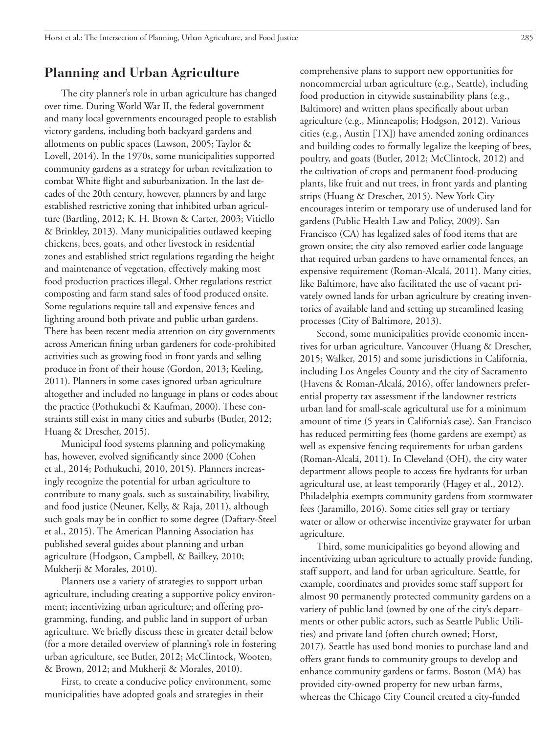#### **Planning and Urban Agriculture**

 The city planner's role in urban agriculture has changed over time. During World War II, the federal government and many local governments encouraged people to establish victory gardens, including both backyard gardens and allotments on public spaces (Lawson, 2005; Taylor  $\&$ Lovell, 2014). In the 1970s, some municipalities supported community gardens as a strategy for urban revitalization to combat White flight and suburbanization. In the last decades of the 20th century, however, planners by and large established restrictive zoning that inhibited urban agriculture (Bartling, 2012; K. H. Brown & Carter, 2003; Vitiello & Brinkley, 2013 ). Many municipalities outlawed keeping chickens, bees, goats, and other livestock in residential zones and established strict regulations regarding the height and maintenance of vegetation, effectively making most food production practices illegal. Other regulations restrict composting and farm stand sales of food produced onsite. Some regulations require tall and expensive fences and lighting around both private and public urban gardens. There has been recent media attention on city governments across American fining urban gardeners for code-prohibited activities such as growing food in front yards and selling produce in front of their house (Gordon, 2013; Keeling, 2011). Planners in some cases ignored urban agriculture altogether and included no language in plans or codes about the practice (Pothukuchi & Kaufman, 2000). These constraints still exist in many cities and suburbs (Butler, 2012; Huang & Drescher, 2015).

 Municipal food systems planning and policymaking has, however, evolved significantly since 2000 (Cohen et al., 2014; Pothukuchi, 2010, 2015). Planners increasingly recognize the potential for urban agriculture to contribute to many goals, such as sustainability, livability, and food justice (Neuner, Kelly, & Raja, 2011 ), although such goals may be in conflict to some degree (Daftary-Steel et al., 2015). The American Planning Association has published several guides about planning and urban agriculture (Hodgson, Campbell, & Bailkey, 2010; Mukherji & Morales, 2010).

 Planners use a variety of strategies to support urban agriculture, including creating a supportive policy environment; incentivizing urban agriculture; and offering programming, funding, and public land in support of urban agriculture. We briefly discuss these in greater detail below (for a more detailed overview of planning's role in fostering urban agriculture, see Butler, 2012; McClintock, Wooten, & Brown, 2012; and Mukherji & Morales, 2010).

 First, to create a conducive policy environment, some municipalities have adopted goals and strategies in their

comprehensive plans to support new opportunities for noncommercial urban agriculture (e.g., Seattle), including food production in citywide sustainability plans (e.g., Baltimore) and written plans specifically about urban agriculture (e.g., Minneapolis; Hodgson, 2012). Various cities (e.g., Austin [TX]) have amended zoning ordinances and building codes to formally legalize the keeping of bees, poultry, and goats (Butler, 2012; McClintock, 2012) and the cultivation of crops and permanent food-producing plants, like fruit and nut trees, in front yards and planting strips (Huang & Drescher, 2015). New York City encourages interim or temporary use of underused land for gardens (Public Health Law and Policy, 2009). San Francisco (CA) has legalized sales of food items that are grown onsite; the city also removed earlier code language that required urban gardens to have ornamental fences, an expensive requirement (Roman-Alcalá, 2011 ). Many cities, like Baltimore, have also facilitated the use of vacant privately owned lands for urban agriculture by creating inventories of available land and setting up streamlined leasing processes (City of Baltimore, 2013).

 Second, some municipalities provide economic incentives for urban agriculture. Vancouver (Huang & Drescher, 2015; Walker, 2015) and some jurisdictions in California, including Los Angeles County and the city of Sacramento (Havens & Roman-Alcalá, 2016), offer landowners preferential property tax assessment if the landowner restricts urban land for small-scale agricultural use for a minimum amount of time (5 years in California's case). San Francisco has reduced permitting fees (home gardens are exempt) as well as expensive fencing requirements for urban gardens (Roman-Alcalá, 2011). In Cleveland (OH), the city water department allows people to access fire hydrants for urban agricultural use, at least temporarily (Hagey et al., 2012). Philadelphia exempts community gardens from stormwater fees (Jaramillo, 2016). Some cities sell gray or tertiary water or allow or otherwise incentivize graywater for urban agriculture.

 Third, some municipalities go beyond allowing and incentivizing urban agriculture to actually provide funding, staff support, and land for urban agriculture. Seattle, for example, coordinates and provides some staff support for almost 90 permanently protected community gardens on a variety of public land (owned by one of the city's departments or other public actors, such as Seattle Public Utilities) and private land (often church owned; Horst, 2017). Seattle has used bond monies to purchase land and offers grant funds to community groups to develop and enhance community gardens or farms. Boston (MA) has provided city-owned property for new urban farms, whereas the Chicago City Council created a city-funded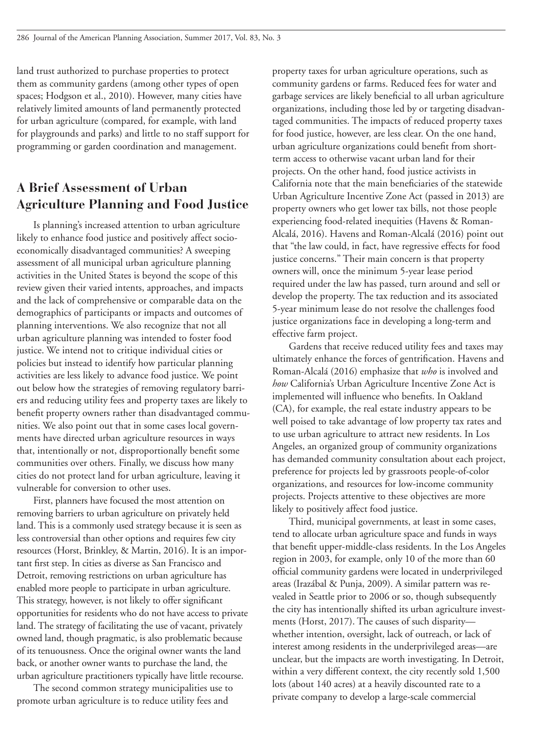land trust authorized to purchase properties to protect them as community gardens (among other types of open spaces; Hodgson et al., 2010). However, many cities have relatively limited amounts of land permanently protected for urban agriculture (compared, for example, with land for playgrounds and parks) and little to no staff support for programming or garden coordination and management.

# **A Brief Assessment of Urban Agriculture Planning and Food Justice**

 Is planning's increased attention to urban agriculture likely to enhance food justice and positively affect socioeconomically disadvantaged communities? A sweeping assessment of all municipal urban agriculture planning activities in the United States is beyond the scope of this review given their varied intents, approaches, and impacts and the lack of comprehensive or comparable data on the demographics of participants or impacts and outcomes of planning interventions. We also recognize that not all urban agriculture planning was intended to foster food justice. We intend not to critique individual cities or policies but instead to identify how particular planning activities are less likely to advance food justice. We point out below how the strategies of removing regulatory barriers and reducing utility fees and property taxes are likely to benefit property owners rather than disadvantaged communities. We also point out that in some cases local governments have directed urban agriculture resources in ways that, intentionally or not, disproportionally benefit some communities over others. Finally, we discuss how many cities do not protect land for urban agriculture, leaving it vulnerable for conversion to other uses.

 First, planners have focused the most attention on removing barriers to urban agriculture on privately held land. This is a commonly used strategy because it is seen as less controversial than other options and requires few city resources (Horst, Brinkley, & Martin, 2016). It is an important first step. In cities as diverse as San Francisco and Detroit, removing restrictions on urban agriculture has enabled more people to participate in urban agriculture. This strategy, however, is not likely to offer significant opportunities for residents who do not have access to private land. The strategy of facilitating the use of vacant, privately owned land, though pragmatic, is also problematic because of its tenuousness. Once the original owner wants the land back, or another owner wants to purchase the land, the urban agriculture practitioners typically have little recourse.

 The second common strategy municipalities use to promote urban agriculture is to reduce utility fees and

property taxes for urban agriculture operations, such as community gardens or farms. Reduced fees for water and garbage services are likely beneficial to all urban agriculture organizations, including those led by or targeting disadvantaged communities. The impacts of reduced property taxes for food justice, however, are less clear. On the one hand, urban agriculture organizations could benefit from shortterm access to otherwise vacant urban land for their projects. On the other hand, food justice activists in California note that the main beneficiaries of the statewide Urban Agriculture Incentive Zone Act (passed in 2013) are property owners who get lower tax bills, not those people experiencing food-related inequities (Havens & Roman-Alcalá, 2016). Havens and Roman-Alcalá (2016) point out that "the law could, in fact, have regressive effects for food justice concerns." Their main concern is that property owners will, once the minimum 5-year lease period required under the law has passed, turn around and sell or develop the property. The tax reduction and its associated 5-year minimum lease do not resolve the challenges food justice organizations face in developing a long-term and effective farm project.

 Gardens that receive reduced utility fees and taxes may ultimately enhance the forces of gentrification. Havens and Roman-Alcalá (2016) emphasize that *who* is involved and *how* California's Urban Agriculture Incentive Zone Act is implemented will influence who benefits. In Oakland (CA), for example, the real estate industry appears to be well poised to take advantage of low property tax rates and to use urban agriculture to attract new residents. In Los Angeles, an organized group of community organizations has demanded community consultation about each project, preference for projects led by grassroots people-of-color organizations, and resources for low-income community projects. Projects attentive to these objectives are more likely to positively affect food justice.

 Third, municipal governments, at least in some cases, tend to allocate urban agriculture space and funds in ways that benefit upper-middle-class residents. In the Los Angeles region in 2003, for example, only 10 of the more than 60 official community gardens were located in underprivileged areas (Irazábal & Punja, 2009). A similar pattern was revealed in Seattle prior to 2006 or so, though subsequently the city has intentionally shifted its urban agriculture investments (Horst, 2017). The causes of such disparitywhether intention, oversight, lack of outreach, or lack of interest among residents in the underprivileged areas—are unclear, but the impacts are worth investigating. In Detroit, within a very different context, the city recently sold 1,500 lots (about 140 acres) at a heavily discounted rate to a private company to develop a large-scale commercial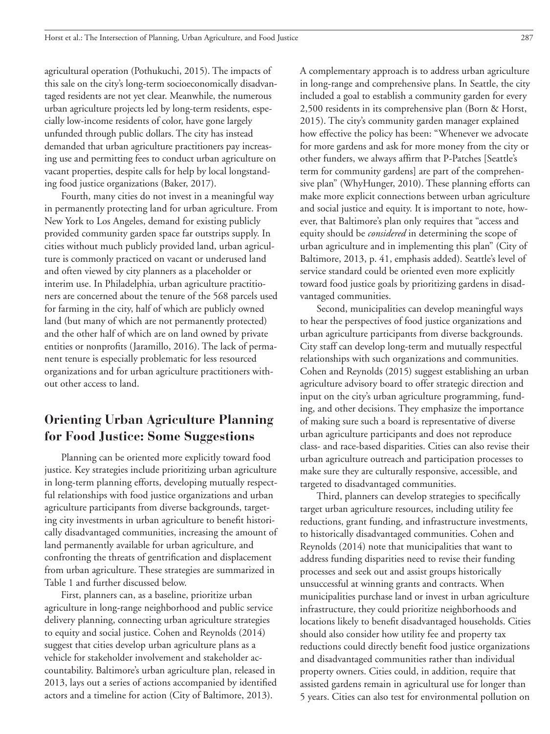agricultural operation (Pothukuchi, 2015). The impacts of this sale on the city's long-term socioeconomically disadvantaged residents are not yet clear. Meanwhile, the numerous urban agriculture projects led by long-term residents, especially low-income residents of color, have gone largely unfunded through public dollars. The city has instead demanded that urban agriculture practitioners pay increasing use and permitting fees to conduct urban agriculture on vacant properties, despite calls for help by local longstanding food justice organizations (Baker, 2017).

 Fourth, many cities do not invest in a meaningful way in permanently protecting land for urban agriculture. From New York to Los Angeles, demand for existing publicly provided community garden space far outstrips supply. In cities without much publicly provided land, urban agriculture is commonly practiced on vacant or underused land and often viewed by city planners as a placeholder or interim use. In Philadelphia, urban agriculture practitioners are concerned about the tenure of the 568 parcels used for farming in the city, half of which are publicly owned land (but many of which are not permanently protected) and the other half of which are on land owned by private entities or nonprofits (Jaramillo, 2016). The lack of permanent tenure is especially problematic for less resourced organizations and for urban agriculture practitioners without other access to land.

## **Orienting Urban Agriculture Planning for Food Justice: Some Suggestions**

 Planning can be oriented more explicitly toward food justice. Key strategies include prioritizing urban agriculture in long-term planning efforts, developing mutually respectful relationships with food justice organizations and urban agriculture participants from diverse backgrounds, targeting city investments in urban agriculture to benefit historically disadvantaged communities, increasing the amount of land permanently available for urban agriculture, and confronting the threats of gentrification and displacement from urban agriculture. These strategies are summarized in Table 1 and further discussed below.

 First, planners can, as a baseline, prioritize urban agriculture in long-range neighborhood and public service delivery planning, connecting urban agriculture strategies to equity and social justice. Cohen and Reynolds (2014) suggest that cities develop urban agriculture plans as a vehicle for stakeholder involvement and stakeholder accountability. Baltimore's urban agriculture plan, released in 2013, lays out a series of actions accompanied by identified actors and a timeline for action (City of Baltimore, 2013).

A complementary approach is to address urban agriculture in long-range and comprehensive plans. In Seattle, the city included a goal to establish a community garden for every 2,500 residents in its comprehensive plan (Born & Horst, 2015). The city's community garden manager explained how effective the policy has been: "Whenever we advocate for more gardens and ask for more money from the city or other funders, we always affirm that P-Patches [Seattle's term for community gardens] are part of the comprehensive plan" (WhyHunger, 2010). These planning efforts can make more explicit connections between urban agriculture and social justice and equity. It is important to note, however, that Baltimore's plan only requires that "access and equity should be *considered* in determining the scope of urban agriculture and in implementing this plan" (City of Baltimore, 2013, p. 41, emphasis added). Seattle's level of service standard could be oriented even more explicitly toward food justice goals by prioritizing gardens in disadvantaged communities.

 Second, municipalities can develop meaningful ways to hear the perspectives of food justice organizations and urban agriculture participants from diverse backgrounds. City staff can develop long-term and mutually respectful relationships with such organizations and communities. Cohen and Reynolds (2015) suggest establishing an urban agriculture advisory board to offer strategic direction and input on the city's urban agriculture programming, funding, and other decisions. They emphasize the importance of making sure such a board is representative of diverse urban agriculture participants and does not reproduce class- and race-based disparities. Cities can also revise their urban agriculture outreach and participation processes to make sure they are culturally responsive, accessible, and targeted to disadvantaged communities.

Third, planners can develop strategies to specifically target urban agriculture resources, including utility fee reductions, grant funding, and infrastructure investments, to historically disadvantaged communities. Cohen and Reynolds (2014) note that municipalities that want to address funding disparities need to revise their funding processes and seek out and assist groups historically unsuccessful at winning grants and contracts. When municipalities purchase land or invest in urban agriculture infrastructure, they could prioritize neighborhoods and locations likely to benefit disadvantaged households. Cities should also consider how utility fee and property tax reductions could directly benefit food justice organizations and disadvantaged communities rather than individual property owners. Cities could, in addition, require that assisted gardens remain in agricultural use for longer than 5 years. Cities can also test for environmental pollution on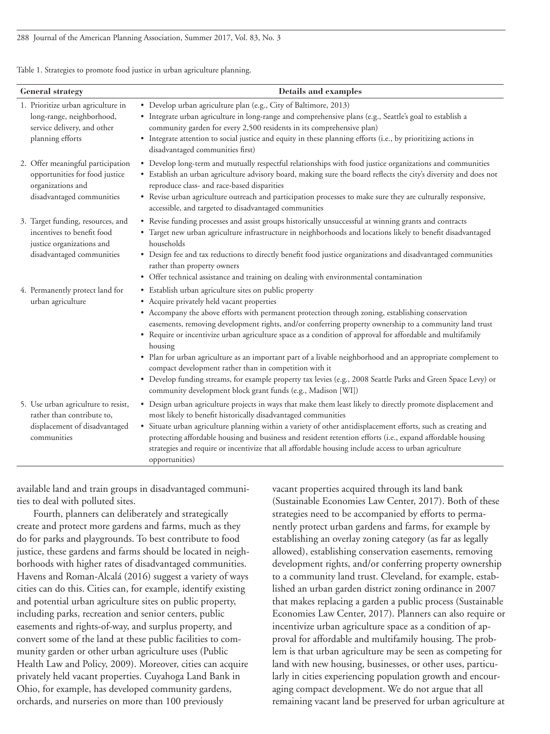|  | Table 1. Strategies to promote food justice in urban agriculture planning. |  |  |  |  |  |  |
|--|----------------------------------------------------------------------------|--|--|--|--|--|--|
|  |                                                                            |  |  |  |  |  |  |

| <b>General strategy</b>                                                                                                   | <b>Details and examples</b>                                                                                                                                                                                                                                                                                                                                                                                                                                                                                                                                                                                                                                                                                                                                                                             |  |  |  |  |  |  |  |
|---------------------------------------------------------------------------------------------------------------------------|---------------------------------------------------------------------------------------------------------------------------------------------------------------------------------------------------------------------------------------------------------------------------------------------------------------------------------------------------------------------------------------------------------------------------------------------------------------------------------------------------------------------------------------------------------------------------------------------------------------------------------------------------------------------------------------------------------------------------------------------------------------------------------------------------------|--|--|--|--|--|--|--|
| 1. Prioritize urban agriculture in<br>long-range, neighborhood,<br>service delivery, and other<br>planning efforts        | · Develop urban agriculture plan (e.g., City of Baltimore, 2013)<br>· Integrate urban agriculture in long-range and comprehensive plans (e.g., Seattle's goal to establish a<br>community garden for every 2,500 residents in its comprehensive plan)<br>• Integrate attention to social justice and equity in these planning efforts (i.e., by prioritizing actions in<br>disadvantaged communities first)                                                                                                                                                                                                                                                                                                                                                                                             |  |  |  |  |  |  |  |
| 2. Offer meaningful participation<br>opportunities for food justice<br>organizations and<br>disadvantaged communities     | • Develop long-term and mutually respectful relationships with food justice organizations and communities<br>• Establish an urban agriculture advisory board, making sure the board reflects the city's diversity and does not<br>reproduce class- and race-based disparities<br>• Revise urban agriculture outreach and participation processes to make sure they are culturally responsive,<br>accessible, and targeted to disadvantaged communities                                                                                                                                                                                                                                                                                                                                                  |  |  |  |  |  |  |  |
| 3. Target funding, resources, and<br>incentives to benefit food<br>justice organizations and<br>disadvantaged communities | • Revise funding processes and assist groups historically unsuccessful at winning grants and contracts<br>· Target new urban agriculture infrastructure in neighborhoods and locations likely to benefit disadvantaged<br>households<br>• Design fee and tax reductions to directly benefit food justice organizations and disadvantaged communities<br>rather than property owners<br>• Offer technical assistance and training on dealing with environmental contamination                                                                                                                                                                                                                                                                                                                            |  |  |  |  |  |  |  |
| 4. Permanently protect land for<br>urban agriculture                                                                      | • Establish urban agriculture sites on public property<br>• Acquire privately held vacant properties<br>• Accompany the above efforts with permanent protection through zoning, establishing conservation<br>easements, removing development rights, and/or conferring property ownership to a community land trust<br>• Require or incentivize urban agriculture space as a condition of approval for affordable and multifamily<br>housing<br>• Plan for urban agriculture as an important part of a livable neighborhood and an appropriate complement to<br>compact development rather than in competition with it<br>· Develop funding streams, for example property tax levies (e.g., 2008 Seattle Parks and Green Space Levy) or<br>community development block grant funds (e.g., Madison [WI]) |  |  |  |  |  |  |  |
| 5. Use urban agriculture to resist,<br>rather than contribute to,<br>displacement of disadvantaged<br>communities         | • Design urban agriculture projects in ways that make them least likely to directly promote displacement and<br>most likely to benefit historically disadvantaged communities<br>• Situate urban agriculture planning within a variety of other antidisplacement efforts, such as creating and<br>protecting affordable housing and business and resident retention efforts (i.e., expand affordable housing<br>strategies and require or incentivize that all affordable housing include access to urban agriculture<br>opportunities)                                                                                                                                                                                                                                                                 |  |  |  |  |  |  |  |

available land and train groups in disadvantaged communities to deal with polluted sites.

 Fourth, planners can deliberately and strategically create and protect more gardens and farms, much as they do for parks and playgrounds. To best contribute to food justice, these gardens and farms should be located in neighborhoods with higher rates of disadvantaged communities. Havens and Roman-Alcalá (2016) suggest a variety of ways cities can do this. Cities can, for example, identify existing and potential urban agriculture sites on public property, including parks, recreation and senior centers, public easements and rights-of-way, and surplus property, and convert some of the land at these public facilities to community garden or other urban agriculture uses (Public Health Law and Policy, 2009). Moreover, cities can acquire privately held vacant properties. Cuyahoga Land Bank in Ohio, for example, has developed community gardens, orchards, and nurseries on more than 100 previously

vacant properties acquired through its land bank (Sustainable Economies Law Center, 2017). Both of these strategies need to be accompanied by efforts to permanently protect urban gardens and farms, for example by establishing an overlay zoning category (as far as legally allowed), establishing conservation easements, removing development rights, and/or conferring property ownership to a community land trust. Cleveland, for example, established an urban garden district zoning ordinance in 2007 that makes replacing a garden a public process (Sustainable Economies Law Center, 2017). Planners can also require or incentivize urban agriculture space as a condition of approval for affordable and multifamily housing. The problem is that urban agriculture may be seen as competing for land with new housing, businesses, or other uses, particularly in cities experiencing population growth and encouraging compact development. We do not argue that all remaining vacant land be preserved for urban agriculture at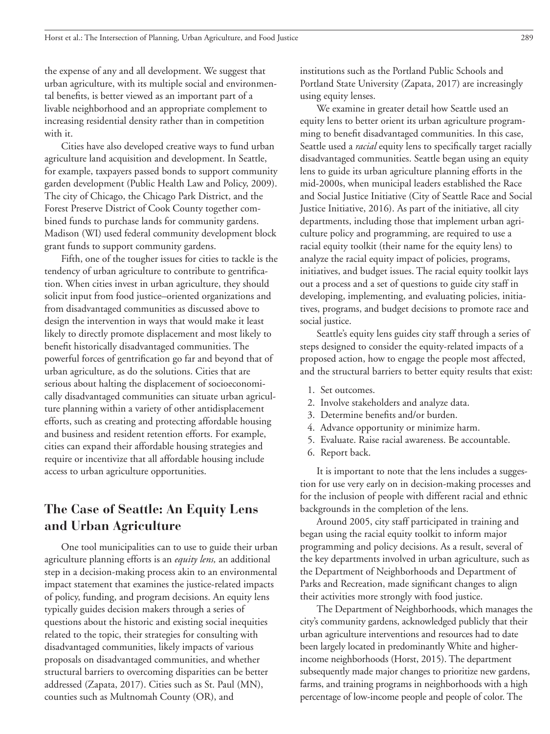the expense of any and all development. We suggest that urban agriculture, with its multiple social and environmental benefits, is better viewed as an important part of a livable neighborhood and an appropriate complement to increasing residential density rather than in competition with it.

 Cities have also developed creative ways to fund urban agriculture land acquisition and development. In Seattle, for example, taxpayers passed bonds to support community garden development (Public Health Law and Policy, 2009). The city of Chicago, the Chicago Park District, and the Forest Preserve District of Cook County together combined funds to purchase lands for community gardens. Madison (WI) used federal community development block grant funds to support community gardens.

 Fifth, one of the tougher issues for cities to tackle is the tendency of urban agriculture to contribute to gentrification. When cities invest in urban agriculture, they should solicit input from food justice–oriented organizations and from disadvantaged communities as discussed above to design the intervention in ways that would make it least likely to directly promote displacement and most likely to benefit historically disadvantaged communities. The powerful forces of gentrification go far and beyond that of urban agriculture, as do the solutions. Cities that are serious about halting the displacement of socioeconomically disadvantaged communities can situate urban agriculture planning within a variety of other antidisplacement efforts, such as creating and protecting affordable housing and business and resident retention efforts. For example, cities can expand their affordable housing strategies and require or incentivize that all affordable housing include access to urban agriculture opportunities.

## **The Case of Seattle: An Equity Lens and Urban Agriculture**

 One tool municipalities can to use to guide their urban agriculture planning efforts is an *equity lens,* an additional step in a decision-making process akin to an environmental impact statement that examines the justice-related impacts of policy, funding, and program decisions. An equity lens typically guides decision makers through a series of questions about the historic and existing social inequities related to the topic, their strategies for consulting with disadvantaged communities, likely impacts of various proposals on disadvantaged communities, and whether structural barriers to overcoming disparities can be better addressed (Zapata, 2017). Cities such as St. Paul (MN), counties such as Multnomah County (OR), and

institutions such as the Portland Public Schools and Portland State University (Zapata, 2017) are increasingly using equity lenses.

 We examine in greater detail how Seattle used an equity lens to better orient its urban agriculture programming to benefit disadvantaged communities. In this case, Seattle used a *racial* equity lens to specifically target racially disadvantaged communities. Seattle began using an equity lens to guide its urban agriculture planning efforts in the mid-2000s, when municipal leaders established the Race and Social Justice Initiative (City of Seattle Race and Social Justice Initiative, 2016). As part of the initiative, all city departments, including those that implement urban agriculture policy and programming, are required to use a racial equity toolkit (their name for the equity lens) to analyze the racial equity impact of policies, programs, initiatives, and budget issues. The racial equity toolkit lays out a process and a set of questions to guide city staff in developing, implementing, and evaluating policies, initiatives, programs, and budget decisions to promote race and social justice.

 Seattle's equity lens guides city staff through a series of steps designed to consider the equity-related impacts of a proposed action, how to engage the people most affected, and the structural barriers to better equity results that exist:

- 1. Set outcomes.
- 2. Involve stakeholders and analyze data.
- 3. Determine benefits and/or burden.
- 4. Advance opportunity or minimize harm.
- 5. Evaluate. Raise racial awareness. Be accountable.
- 6. Report back.

 It is important to note that the lens includes a suggestion for use very early on in decision-making processes and for the inclusion of people with different racial and ethnic backgrounds in the completion of the lens.

 Around 2005, city staff participated in training and began using the racial equity toolkit to inform major programming and policy decisions. As a result, several of the key departments involved in urban agriculture, such as the Department of Neighborhoods and Department of Parks and Recreation, made significant changes to align their activities more strongly with food justice.

 The Department of Neighborhoods, which manages the city's community gardens, acknowledged publicly that their urban agriculture interventions and resources had to date been largely located in predominantly White and higherincome neighborhoods (Horst, 2015). The department subsequently made major changes to prioritize new gardens, farms, and training programs in neighborhoods with a high percentage of low-income people and people of color. The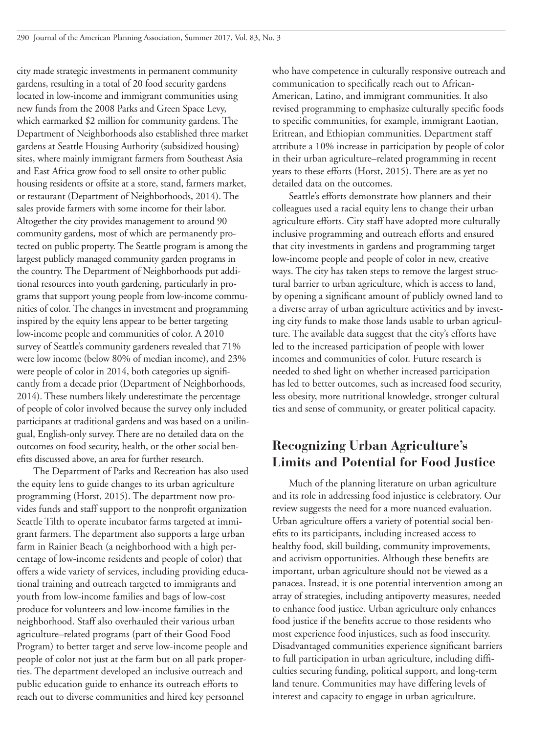city made strategic investments in permanent community gardens, resulting in a total of 20 food security gardens located in low-income and immigrant communities using new funds from the 2008 Parks and Green Space Levy, which earmarked \$2 million for community gardens. The Department of Neighborhoods also established three market gardens at Seattle Housing Authority (subsidized housing) sites, where mainly immigrant farmers from Southeast Asia and East Africa grow food to sell onsite to other public housing residents or offsite at a store, stand, farmers market, or restaurant (Department of Neighborhoods, 2014). The sales provide farmers with some income for their labor. Altogether the city provides management to around 90 community gardens, most of which are permanently protected on public property. The Seattle program is among the largest publicly managed community garden programs in the country. The Department of Neighborhoods put additional resources into youth gardening, particularly in programs that support young people from low-income communities of color. The changes in investment and programming inspired by the equity lens appear to be better targeting low-income people and communities of color. A 2010 survey of Seattle's community gardeners revealed that 71% were low income (below 80% of median income), and 23% were people of color in 2014, both categories up significantly from a decade prior (Department of Neighborhoods, 2014). These numbers likely underestimate the percentage of people of color involved because the survey only included participants at traditional gardens and was based on a unilingual, English-only survey. There are no detailed data on the outcomes on food security, health, or the other social benefits discussed above, an area for further research.

 The Department of Parks and Recreation has also used the equity lens to guide changes to its urban agriculture programming (Horst, 2015). The department now provides funds and staff support to the nonprofit organization Seattle Tilth to operate incubator farms targeted at immigrant farmers. The department also supports a large urban farm in Rainier Beach (a neighborhood with a high percentage of low-income residents and people of color) that offers a wide variety of services, including providing educational training and outreach targeted to immigrants and youth from low-income families and bags of low-cost produce for volunteers and low-income families in the neighborhood. Staff also overhauled their various urban agriculture–related programs (part of their Good Food Program) to better target and serve low-income people and people of color not just at the farm but on all park properties. The department developed an inclusive outreach and public education guide to enhance its outreach efforts to reach out to diverse communities and hired key personnel

who have competence in culturally responsive outreach and communication to specifically reach out to African-American, Latino, and immigrant communities. It also revised programming to emphasize culturally specific foods to specific communities, for example, immigrant Laotian, Eritrean, and Ethiopian communities. Department staff attribute a 10% increase in participation by people of color in their urban agriculture–related programming in recent years to these efforts (Horst, 2015). There are as yet no detailed data on the outcomes.

 Seattle's efforts demonstrate how planners and their colleagues used a racial equity lens to change their urban agriculture efforts. City staff have adopted more culturally inclusive programming and outreach efforts and ensured that city investments in gardens and programming target low-income people and people of color in new, creative ways. The city has taken steps to remove the largest structural barrier to urban agriculture, which is access to land, by opening a significant amount of publicly owned land to a diverse array of urban agriculture activities and by investing city funds to make those lands usable to urban agriculture. The available data suggest that the city's efforts have led to the increased participation of people with lower incomes and communities of color. Future research is needed to shed light on whether increased participation has led to better outcomes, such as increased food security, less obesity, more nutritional knowledge, stronger cultural ties and sense of community, or greater political capacity.

## **Recognizing Urban Agriculture's Limits and Potential for Food Justice**

 Much of the planning literature on urban agriculture and its role in addressing food injustice is celebratory. Our review suggests the need for a more nuanced evaluation. Urban agriculture offers a variety of potential social benefits to its participants, including increased access to healthy food, skill building, community improvements, and activism opportunities. Although these benefits are important, urban agriculture should not be viewed as a panacea. Instead, it is one potential intervention among an array of strategies, including antipoverty measures, needed to enhance food justice. Urban agriculture only enhances food justice if the benefits accrue to those residents who most experience food injustices, such as food insecurity. Disadvantaged communities experience significant barriers to full participation in urban agriculture, including difficulties securing funding, political support, and long-term land tenure. Communities may have differing levels of interest and capacity to engage in urban agriculture.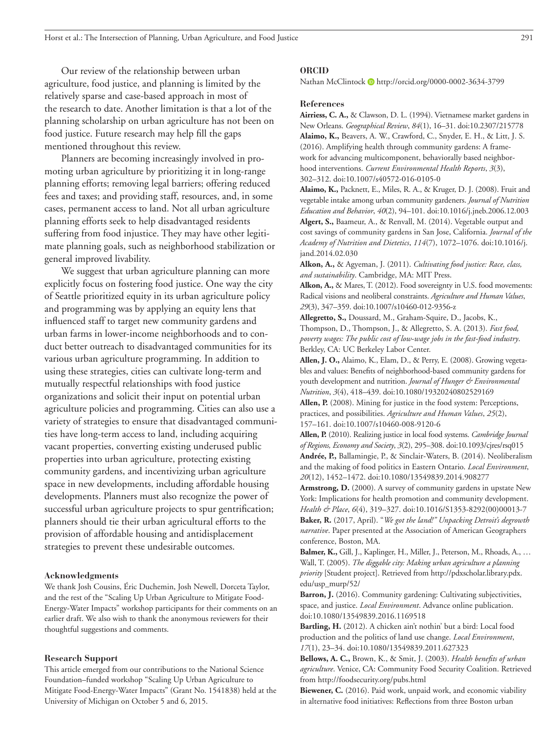Our review of the relationship between urban agriculture, food justice, and planning is limited by the relatively sparse and case-based approach in most of the research to date. Another limitation is that a lot of the planning scholarship on urban agriculture has not been on food justice. Future research may help fill the gaps mentioned throughout this review.

 Planners are becoming increasingly involved in promoting urban agriculture by prioritizing it in long-range planning efforts; removing legal barriers; offering reduced fees and taxes; and providing staff, resources, and, in some cases, permanent access to land. Not all urban agriculture planning efforts seek to help disadvantaged residents suffering from food injustice. They may have other legitimate planning goals, such as neighborhood stabilization or general improved livability.

 We suggest that urban agriculture planning can more explicitly focus on fostering food justice. One way the city of Seattle prioritized equity in its urban agriculture policy and programming was by applying an equity lens that influenced staff to target new community gardens and urban farms in lower-income neighborhoods and to conduct better outreach to disadvantaged communities for its various urban agriculture programming. In addition to using these strategies, cities can cultivate long-term and mutually respectful relationships with food justice organizations and solicit their input on potential urban agriculture policies and programming. Cities can also use a variety of strategies to ensure that disadvantaged communities have long-term access to land, including acquiring vacant properties, converting existing underused public properties into urban agriculture, protecting existing community gardens, and incentivizing urban agriculture space in new developments, including affordable housing developments. Planners must also recognize the power of successful urban agriculture projects to spur gentrification; planners should tie their urban agricultural efforts to the provision of affordable housing and antidisplacement strategies to prevent these undesirable outcomes.

#### **Acknowledgments**

 We thank Josh Cousins, Éric Duchemin, Josh Newell, Dorceta Taylor, and the rest of the "Scaling Up Urban Agriculture to Mitigate Food-Energy-Water Impacts" workshop participants for their comments on an earlier draft. We also wish to thank the anonymous reviewers for their thoughtful suggestions and comments.

#### **Research Support**

 This article emerged from our contributions to the National Science Foundation–funded workshop "Scaling Up Urban Agriculture to Mitigate Food-Energy-Water Impacts" (Grant No. 1541838) held at the University of Michigan on October 5 and 6, 2015.

#### **ORCID**

Nathan McClintock Dhttp://orcid.org/0000-0002-3634-3799

#### **References**

Airriess, C. A., & Clawson, D. L. (1994). Vietnamese market gardens in New Orleans. *Geographical Review*, 84(1), 16-31. doi:10.2307/215778 Alaimo, K., Beavers, A. W., Crawford, C., Snyder, E. H., & Litt, J. S. (2016). Amplifying health through community gardens: A framework for advancing multicomponent, behaviorally based neighborhood interventions. *Current Environmental Health Reports*, 3(3), 302 – 312 . doi: 10.1007/s40572-016-0105-0

**Alaimo, K.,** Packnett, E., Miles, R. A., & Kruger, D. J. (2008). Fruit and vegetable intake among urban community gardeners . *Journal of Nutrition Education and Behavior* , *40* ( 2 ), 94 – 101 . doi: 10.1016/j.jneb.2006.12.003 Algert, S., Baameur, A., & Renvall, M. (2014). Vegetable output and

cost savings of community gardens in San Jose, California . *Journal of the Academy of Nutrition and Dietetics* , *114* ( 7 ), 1072 – 1076 . doi: 10.1016/j. jand.2014.02.030

Alkon, A., & Agyeman, J. (2011). *Cultivating food justice: Race, class,* and sustainability. Cambridge, MA: MIT Press.

Alkon, A., & Mares, T. (2012). Food sovereignty in U.S. food movements: Radical visions and neoliberal constraints . *Agriculture and Human Values* , 29(3), 347-359. doi:10.1007/s10460-012-9356-z

Allegretto, S., Doussard, M., Graham-Squire, D., Jacobs, K., Thompson, D., Thompson, J., & Allegretto, S. A. (2013). *Fast food*, *poverty wages: The public cost of low-wage jobs in the fast-food industry* . Berkley, CA: UC Berkeley Labor Center.

**Allen, J. O.,** Alaimo, K., Elam, D., & Perry, E. (2008). Growing vegetables and values: Benefits of neighborhood-based community gardens for youth development and nutrition . *Journal of Hunger & Environmental Nutrition* , *3* ( 4 ), 418 – 439 . doi: 10.1080/19320240802529169

Allen, P. (2008). Mining for justice in the food system: Perceptions, practices, and possibilities. *Agriculture and Human Values*, 25(2), 157 – 161 . doi: 10.1007/s10460-008-9120-6

Allen, P. (2010). Realizing justice in local food systems. *Cambridge Journal of Regions, Economy and Society* , *3* ( 2 ), 295 – 308 . doi: 10.1093/cjres/rsq015 Andrée, P., Ballamingie, P., & Sinclair-Waters, B. (2014). Neoliberalism and the making of food politics in Eastern Ontario. *Local Environment*, *20* ( 12 ), 1452 – 1472 . doi: 10.1080/13549839.2014.908277

Armstrong, D. (2000). A survey of community gardens in upstate New York: Implications for health promotion and community development. *Health & Place* , *6* ( 4 ), 319 – 327 . doi: 10.1016/S1353-8292(00)00013-7 Baker, R. (2017, April). "We got the land!" Unpacking Detroit's degrowth *narrative*. Paper presented at the Association of American Geographers conference, Boston, MA.

Balmer, K., Gill, J., Kaplinger, H., Miller, J., Peterson, M., Rhoads, A., ... Wall, T. (2005). *The diggable city: Making urban agriculture a planning priority* [Student project]. Retrieved from http://pdxscholar.library.pdx. edu/usp\_murp/52/

Barron, J. (2016). Community gardening: Cultivating subjectivities, space, and justice. *Local Environment*. Advance online publication. doi: 10.1080/13549839.2016.1169518

Bartling, H. (2012). A chicken ain't nothin' but a bird: Local food production and the politics of land use change. *Local Environment*, 17(1), 23-34. doi:10.1080/13549839.2011.627323

Bellows, A. C., Brown, K., & Smit, J. (2003). *Health benefits of urban* agriculture. Venice, CA: Community Food Security Coalition. Retrieved from http://foodsecurity.org/pubs.html

Biewener, C. (2016). Paid work, unpaid work, and economic viability in alternative food initiatives: Reflections from three Boston urban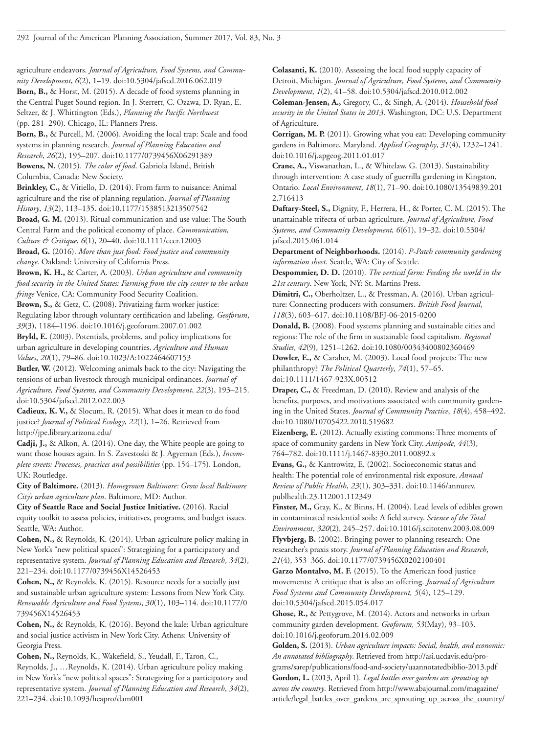agriculture endeavors. Journal of Agriculture, Food Systems, and Commu*nity Development*,  $6(2)$ , 1-19. doi:10.5304/jafscd.2016.062.019 Born, B., & Horst, M. (2015). A decade of food systems planning in the Central Puget Sound region. In J. Sterrett, C. Ozawa, D. Ryan, E. Seltzer, & J. Whittington (Eds.), *Planning the Pacific Northwest* (pp. 281-290). Chicago, IL: Planners Press.

**Born, B.,** & Purcell, M. (2006). Avoiding the local trap: Scale and food systems in planning research . *Journal of Planning Education and Research* , *26* ( 2 ), 195 – 207 . doi: 10.1177/0739456X06291389

Bowens, N. (2015). *The color of food*. Gabriola Island, British Columbia, Canada: New Society.

Brinkley, C., & Vitiello, D. (2014). From farm to nuisance: Animal agriculture and the rise of planning regulation . *Journal of Planning*  History, 13(2), 113-135. doi:10.1177/1538513213507542

Broad, G. M. (2013). Ritual communication and use value: The South Central Farm and the political economy of place . *Communication, Culture & Critique*,  $6(1)$ , 20-40. doi:10.1111/cccr.12003

Broad, G. (2016). More than just food: Food justice and community change. Oakland: University of California Press.

Brown, K. H., & Carter, A. (2003). *Urban agriculture and community food security in the United States: Farming from the city center to the urban fringe* Venice, CA: Community Food Security Coalition.

Brown, S., & Getz, C. (2008). Privatizing farm worker justice: Regulating labor through voluntary certification and labeling. *Geoforum*, 39(3), 1184-1196. doi:10.1016/j.geoforum.2007.01.002

Bryld, E. (2003). Potentials, problems, and policy implications for urban agriculture in developing countries . *Agriculture and Human Values* , *20* ( 1 ), 79 – 86 . doi: 10.1023/A:1022464607153

**Butler, W.** (2012). Welcoming animals back to the city: Navigating the tensions of urban livestock through municipal ordinances . *Journal of*  Agriculture, Food Systems, and Community Development, 22(3), 193-215. doi: 10.5304/jafscd.2012.022.003

Cadieux, K. V., & Slocum, R. (2015). What does it mean to do food justice? *Journal of Political Ecology*, 22(1), 1-26. Retrieved from http://jpe.library.arizona.edu/

Cadji, J., & Alkon, A. (2014). One day, the White people are going to want those houses again . In S. Zavestoski & J. Agyeman (Eds.), *Incomplete streets: Processes, practices and possibilities* (pp. 154–175). London, UK: Routledge.

**City of Baltimore .** ( 2013 ). *Homegrown Baltimore: Grow local Baltimore City's urban agriculture plan*. Baltimore, MD: Author.

**City of Seattle Race and Social Justice Initiative.** (2016). Racial equity toolkit to assess policies, initiatives, programs, and budget issues . Seattle, WA: Author.

**Cohen, N., & Reynolds, K. (2014). Urban agriculture policy making in** New York's "new political spaces": Strategizing for a participatory and representative system. *Journal of Planning Education and Research*, 34(2), 221-234. doi:10.1177/0739456X14526453

**Cohen, N.,** & Reynolds, K. (2015). Resource needs for a socially just and sustainable urban agriculture system: Lessons from New York City. *Renewable Agriculture and Food Systems* , *30* ( 1 ), 103 – 114 . doi: 10.1177/0 739456X14526453

**Cohen, N., & Reynolds, K. (2016). Beyond the kale: Urban agriculture** and social justice activism in New York City. Athens: University of Georgia Press.

Cohen, N., Reynolds, K., Wakefield, S., Yeudall, F., Taron, C., Reynolds, J., ... Reynolds, K. (2014). Urban agriculture policy making

in New York's "new political spaces": Strategizing for a participatory and representative system. *Journal of Planning Education and Research*, 34(2), 221-234. doi:10.1093/heapro/dam001

**Colasanti, K.** (2010). Assessing the local food supply capacity of Detroit, Michigan. *Journal of Agriculture, Food Systems, and Community Development* , *1* ( 2 ), 41 – 58 . doi: 10.5304/jafscd.2010.012.002

**Coleman-Jensen , A. ,** Gregory , C. , & Singh , A. ( 2014 ). *Household food*  security in the United States in 2013. Washington, DC: U.S. Department of Agriculture.

**Corrigan, M. P.** (2011). Growing what you eat: Developing community gardens in Baltimore, Maryland. *Applied Geography*, 31(4), 1232-1241. doi: 10.1016/j.apgeog.2011.01.017

**Crane, A., Viswanathan, L., & Whitelaw, G. (2013). Sustainability** through intervention: A case study of guerrilla gardening in Kingston, Ontario. *Local Environment*, 18(1), 71-90. doi:10.1080/13549839.201 2.716413

Daftary-Steel, S., Dignity, F., Herrera, H., & Porter, C. M. (2015). The unattainable trifecta of urban agriculture . *Journal of Agriculture, Food Systems, and Community Development, 6* ( 61 ), 19 – 32 . doi: 10.5304/ jafscd.2015.061.014

**Department of Neighborhoods .** ( 2014 ). *P-Patch community gardening*  information sheet. Seattle, WA: City of Seattle.

**Despommier, D. D.** (2010). *The vertical farm: Feeding the world in the* 21st century. New York, NY: St. Martins Press.

Dimitri, C., Oberholtzer, L., & Pressman, A. (2016). Urban agriculture: Connecting producers with consumers. British Food Journal, 118(3), 603-617. doi:10.1108/BFJ-06-2015-0200

Donald, B. (2008). Food systems planning and sustainable cities and regions: The role of the firm in sustainable food capitalism. *Regional Studies* , *42* ( 9 ), 1251 – 1262 . doi: 10.1080/00343400802360469

**Dowler, E.,** & Caraher, M. (2003). Local food projects: The new philanthropy? *The Political Quarterly*, 74(1), 57-65. doi: 10.1111/1467-923X.00512

Draper, C., & Freedman, D. (2010). Review and analysis of the benefits, purposes, and motivations associated with community gardening in the United States. *Journal of Community Practice*, 18(4), 458-492. doi: 10.1080/10705422.2010.519682

Eizenberg, E. (2012). Actually existing commons: Three moments of space of community gardens in New York City. Antipode, 44(3), 764 – 782 . doi: 10.1111/j.1467-8330.2011.00892.x

Evans, G., & Kantrowitz, E. (2002). Socioeconomic status and health: The potential role of environmental risk exposure . *Annual Review of Public Health* , *23* ( 1 ), 303 – 331 . doi: 10.1146/annurev. publhealth.23.112001.112349

Finster, M., Gray, K., & Binns, H. (2004). Lead levels of edibles grown in contaminated residential soils: A field survey. Science of the Total *Environment*,  $320(2)$ ,  $245-257$ . doi:10.1016/j.scitotenv.2003.08.009 Flyvbjerg, B. (2002). Bringing power to planning research: One researcher's praxis story. *Journal of Planning Education and Research*,

*21* ( 4 ), 353 – 366 . doi: 10.1177/0739456X0202100401 Garzo Montalvo, M. F. (2015). To the American food justice movements: A critique that is also an offering. *Journal of Agriculture* Food Systems and Community Development, 5(4), 125-129. doi: 10.5304/jafscd.2015.054.017

**Ghose, R.,** & Pettygrove, M. (2014). Actors and networks in urban community garden development. *Geoforum*, 53(May), 93-103. doi: 10.1016/j.geoforum.2014.02.009

Golden, S. (2013). *Urban agriculture impacts: Social, health, and economic: An annotated bibliography* . Retrieved from http://asi.ucdavis.edu/programs/sarep/publications/food-and-society/uaannotatedbiblio-2013.pdf Gordon, L. (2013, April 1). *Legal battles over gardens are sprouting up across the country* . Retrieved from http://www.abajournal.com/magazine/ article/legal\_battles\_over\_gardens\_are\_sprouting\_up\_across\_the\_country/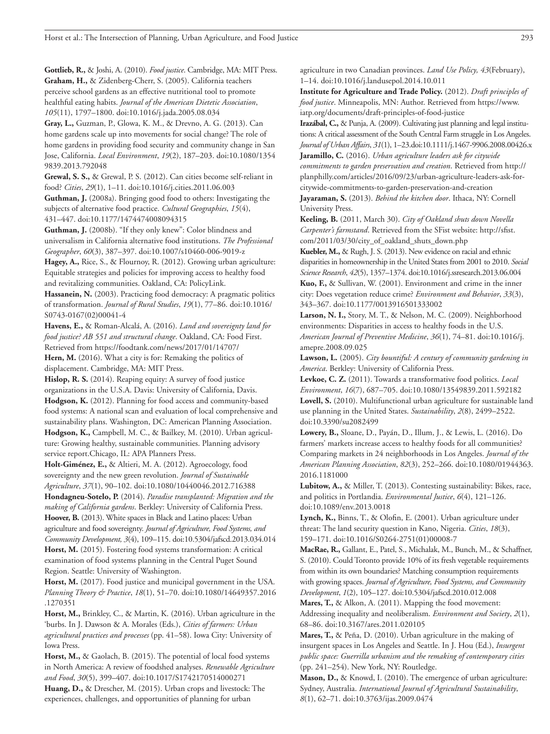Gottlieb, R., & Joshi, A. (2010). *Food justice*. Cambridge, MA: MIT Press. Graham, H., & Zidenberg-Cherr, S. (2005). California teachers perceive school gardens as an effective nutritional tool to promote healthful eating habits. *Journal of the American Dietetic Association*, *105* ( 11 ), 1797 – 1800 . doi: 10.1016/j.jada.2005.08.034

**Gray, L., Guzman, P., Glowa, K. M., & Drevno, A. G. (2013). Can** home gardens scale up into movements for social change? The role of home gardens in providing food security and community change in San Jose, California. *Local Environment*, 19(2), 187-203. doi:10.1080/1354 9839.2013.792048

Grewal, S. S., & Grewal, P. S. (2012). Can cities become self-reliant in food? *Cities*, 29(1), 1-11. doi:10.1016/j.cities.2011.06.003

Guthman, J. (2008a). Bringing good food to others: Investigating the subjects of alternative food practice. *Cultural Geographies*, 15(4), 431-447. doi:10.1177/1474474008094315

Guthman, J. (2008b). "If they only knew": Color blindness and universalism in California alternative food institutions . *The Professional Geographer* , *60* ( 3 ), 387 – 397 . doi: 10.1007/s10460-006-9019-z

Hagey, A., Rice, S., & Flournoy, R. (2012). Growing urban agriculture: Equitable strategies and policies for improving access to healthy food and revitalizing communities. Oakland, CA: PolicyLink.

Hassanein, N. (2003). Practicing food democracy: A pragmatic politics of transformation . *Journal of Rural Studies* , *19* ( 1 ), 77 – 86 . doi: 10.1016/ S0743-0167(02)00041-4

Havens, E., & Roman-Alcalá, A. (2016). *Land and sovereignty land for* food justice? AB 551 and structural change. Oakland, CA: Food First. Retrieved from https://foodtank.com/news/2017/01/14707/

Hern, M. (2016). What a city is for: Remaking the politics of displacement. Cambridge, MA: MIT Press.

**Hislop, R. S.** (2014). Reaping equity: A survey of food justice organizations in the U.S.A. Davis: University of California, Davis. **Hodgson, K.** (2012). Planning for food access and community-based food systems: A national scan and evaluation of local comprehensive and sustainability plans. Washington, DC: American Planning Association. Hodgson, K., Campbell, M. C., & Bailkey, M. (2010). Urban agriculture: Growing healthy, sustainable communities . Planning advisory service report. Chicago, IL: APA Planners Press.

Holt-Giménez, E., & Altieri, M. A. (2012). Agroecology, food sovereignty and the new green revolution . *Journal of Sustainable Agriculture* , *37* ( 1 ), 90 – 102 . doi: 10.1080/10440046.2012.716388 Hondagneu-Sotelo, P. (2014). *Paradise transplanted: Migration and the making of California gardens*. Berkley: University of California Press. Hoover, B. (2013). White spaces in Black and Latino places: Urban agriculture and food sovereignty . *Journal of Agriculture, Food Systems, and Community Development, 3* ( 4 ), 109 – 115 . doi: 10.5304/jafscd.2013.034.014 Horst, M. (2015). Fostering food systems transformation: A critical examination of food systems planning in the Central Puget Sound Region. Seattle: University of Washington.

Horst, M. (2017). Food justice and municipal government in the USA. *Planning Theory & Practice*,  $18(1)$ , 51-70. doi:10.1080/14649357.2016 .1270351

Horst, M., Brinkley, C., & Martin, K. (2016). Urban agriculture in the 'burbs . In J. Dawson & A. Morales (Eds.), *Cities of farmers: Urban*  agricultural practices and processes (pp. 41-58). Iowa City: University of Iowa Press.

Horst, M., & Gaolach, B. (2015). The potential of local food systems in North America: A review of foodshed analyses . *Renewable Agriculture*  and Food, 30(5), 399-407. doi:10.1017/S1742170514000271 Huang, D., & Drescher, M. (2015). Urban crops and livestock: The experiences, challenges, and opportunities of planning for urban

agriculture in two Canadian provinces . *Land Use Policy, 43* (February), 1 – 14 . doi: 10.1016/j.landusepol.2014.10.011

**Institute for Agriculture and Trade Policy .** ( 2012 ). *Draft principles of food justice*. Minneapolis, MN: Author. Retrieved from https://www. iatp.org/documents/draft-principles-of-food-justice

**Irazábal, C.,** & Punja, A. (2009). Cultivating just planning and legal institutions: A critical assessment of the South Central Farm struggle in Los Angeles. *Journal of Urban Affairs* , *31* ( 1 ), 1 – 23 .doi: 10.1111/j.1467-9906.2008.00426.x Jaramillo, C. (2016). *Urban agriculture leaders ask for citywide* 

 *commitments to garden preservation and creation* . Retrieved from http:// planphilly.com/articles/2016/09/23/urban-agriculture-leaders-ask-forcitywide-commitments-to-garden-preservation-and-creation Jayaraman, S. (2013). *Behind the kitchen door*. Ithaca, NY: Cornell University Press.

Keeling, B. (2011, March 30). *City of Oakland shuts down Novella* Carpenter's farmstand. Retrieved from the SFist website: http://sfist. com/2011/03/30/city\_of\_oakland\_shuts\_down.php

**Kuebler, M.,** & Rugh, J. S. (2013). New evidence on racial and ethnic disparities in homeownership in the United States from 2001 to 2010 . *Social Science Research* , *42* ( 5 ), 1357 – 1374 . doi: 10.1016/j.ssresearch.2013.06.004 **Kuo, F.,** & Sullivan, W. (2001). Environment and crime in the inner city: Does vegetation reduce crime? *Environment and Behavior*, 33(3), 343 – 367 . doi: 10.1177/0013916501333002

Larson, N. I., Story, M. T., & Nelson, M. C. (2009). Neighborhood environments: Disparities in access to healthy foods in the U.S . *American Journal of Preventive Medicine* , *36* ( 1 ), 74 – 81 . doi: 10.1016/j. amepre.2008.09.025

Lawson, L. (2005). *City bountiful: A century of community gardening in America*. Berkley: University of California Press.

Levkoe, C. Z. (2011). Towards a transformative food politics. *Local Environment* , *16* ( 7 ), 687 – 705 . doi: 10.1080/13549839.2011.592182 Lovell, S. (2010). Multifunctional urban agriculture for sustainable land use planning in the United States. *Sustainability*, 2(8), 2499-2522. doi: 10.3390/su2082499

Lowery, B., Sloane, D., Payán, D., Illum, J., & Lewis, L. (2016). Do farmers' markets increase access to healthy foods for all communities? Comparing markets in 24 neighborhoods in Los Angeles . *Journal of the American Planning Association* , *82* ( 3 ), 252 – 266 . doi: 10.1080/01944363. 2016.1181000

Lubitow, A., & Miller, T. (2013). Contesting sustainability: Bikes, race, and politics in Portlandia. *Environmental Justice*, 6(4), 121-126. doi: 10.1089/env.2013.0018

Lynch, K., Binns, T., & Olofin, E. (2001). Urban agriculture under threat: The land security question in Kano, Nigeria. *Cities*, 18(3), 159 – 171 . doi: 10.1016/S0264-2751(01)00008-7

MacRae, R., Gallant, E., Patel, S., Michalak, M., Bunch, M., & Schaffner, S. (2010). Could Toronto provide 10% of its fresh vegetable requirements from within its own boundaries? Matching consumption requirements with growing spaces . *Journal of Agriculture, Food Systems, and Community Development* , *1* ( 2 ), 105 – 127 . doi: 10.5304/jafscd.2010.012.008

Mares, T., & Alkon, A. (2011). Mapping the food movement: Addressing inequality and neoliberalism. *Environment and Society*, 2(1), 68 – 86 . doi: 10.3167/ares.2011.020105

**Mares, T.,** & Peña, D. (2010). Urban agriculture in the making of insurgent spaces in Los Angeles and Seattle. In J. Hou (Ed.), *Insurgent public space: Guerrilla urbanism and the remaking of contemporary cities* (pp. 241-254). New York, NY: Routledge.

Mason, D., & Knowd, I. (2010). The emergence of urban agriculture: Sydney, Australia. *International Journal of Agricultural Sustainability*, 8(1), 62-71. doi:10.3763/ijas.2009.0474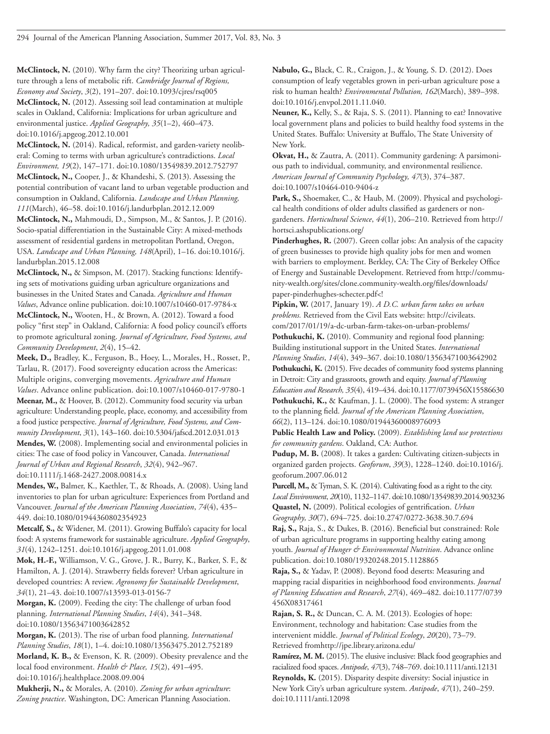McClintock, N. (2010). Why farm the city? Theorizing urban agriculture through a lens of metabolic rift. *Cambridge Journal of Regions*, *Economy and Society* , *3* ( 2 ), 191 – 207 . doi: 10.1093/cjres/rsq005 McClintock, N. (2012). Assessing soil lead contamination at multiple scales in Oakland, California: Implications for urban agriculture and environmental justice. *Applied Geography*, 35(1-2), 460-473.

doi: 10.1016/j.apgeog.2012.10.001

McClintock, N. (2014). Radical, reformist, and garden-variety neoliberal: Coming to terms with urban agriculture's contradictions . *Local Environment, 19* ( 2 ), 147 – 171 . doi: 10.1080/13549839.2012.752797 McClintock, N., Cooper, J., & Khandeshi, S. (2013). Assessing the potential contribution of vacant land to urban vegetable production and consumption in Oakland, California . *Landscape and Urban Planning, 111* (March), 46 – 58 . doi: 10.1016/j.landurbplan.2012.12.009

**McClintock, N., Mahmoudi**, D., Simpson, M., & Santos, J. P. (2016). Socio-spatial differentiation in the Sustainable City: A mixed-methods assessment of residential gardens in metropolitan Portland, Oregon, USA. *Landscape and Urban Planning*, 148(April), 1-16. doi:10.1016/j. landurbplan.2015.12.008

McClintock, N., & Simpson, M. (2017). Stacking functions: Identifying sets of motivations guiding urban agriculture organizations and businesses in the United States and Canada . *Agriculture and Human Values* , Advance online publication. doi: 10.1007/s10460-017-9784-x McClintock, N., Wooten, H., & Brown, A. (2012). Toward a food policy "first step" in Oakland, California: A food policy council's efforts to promote agricultural zoning. *Journal of Agriculture, Food Systems, and Community Development*, 2(4), 15-42.

Meek, D., Bradley, K., Ferguson, B., Hoey, L., Morales, H., Rosset, P., Tarlau, R. (2017). Food sovereignty education across the Americas: Multiple origins, converging movements . *Agriculture and Human Values* . Advance online publication. doi: 10.1007/s10460-017-9780-1 Meenar, M., & Hoover, B. (2012). Community food security via urban agriculture: Understanding people, place, economy, and accessibility from a food justice perspective. *Journal of Agriculture, Food Systems, and Community Development* , *3* ( 1 ), 143 – 160 . doi: 10.5304/jafscd.2012.031.013 Mendes, W. (2008). Implementing social and environmental policies in cities: The case of food policy in Vancouver, Canada . *International*  Journal of Urban and Regional Research, 32(4), 942-967.

doi: 10.1111/j.1468-2427.2008.00814.x

**Mendes, W.,** Balmer, K., Kaethler, T., & Rhoads, A. (2008). Using land inventories to plan for urban agriculture: Experiences from Portland and Vancouver. *Journal of the American Planning Association*, 74(4), 435– 449 . doi: 10.1080/01944360802354923

Metcalf, S., & Widener, M. (2011). Growing Buffalo's capacity for local food: A systems framework for sustainable agriculture. Applied Geography, 31(4), 1242-1251. doi:10.1016/j.apgeog.2011.01.008

Mok, H.-F., Williamson, V. G., Grove, J. R., Burry, K., Barker, S. F., & Hamilton, A. J. (2014). Strawberry fields forever? Urban agriculture in developed countries: A review. Agronomy for Sustainable Development, 34(1), 21-43. doi:10.1007/s13593-013-0156-7

Morgan, K. (2009). Feeding the city: The challenge of urban food planning. *International Planning Studies*, 14(4), 341-348. doi: 10.1080/13563471003642852

Morgan, K. (2013). The rise of urban food planning. *International Planning Studies* , *18* ( 1 ), 1 – 4 . doi: 10.1080/13563475.2012.752189 Morland, K. B., & Evenson, K. R. (2009). Obesity prevalence and the local food environment. *Health & Place*, 15(2), 491-495. doi:10.1016/j.healthplace.2008.09.004

Mukherji, N., & Morales, A. (2010). *Zoning for urban agriculture*: Zoning practice. Washington, DC: American Planning Association.

Nabulo, G., Black, C. R., Craigon, J., & Young, S. D. (2012). Does consumption of leafy vegetables grown in peri-urban agriculture pose a risk to human health? *Environmental Pollution, 162*(March), 389-398. doi: 10.1016/j.envpol.2011.11.040 .

Neuner, K., Kelly, S., & Raja, S. S. (2011). Planning to eat? Innovative local government plans and policies to build healthy food systems in the United States. Buffalo: University at Buffalo, The State University of New York.

**Okvat, H., & Zautra, A.** (2011). Community gardening: A parsimonious path to individual, community, and environmental resilience . *American Journal of Community Psychology, 47* ( 3 ), 374 – 387 . doi: 10.1007/s10464-010-9404-z

Park, S., Shoemaker, C., & Haub, M. (2009). Physical and psychological health conditions of older adults classified as gardeners or nongardeners. *Horticultural Science*, 44(1), 206-210. Retrieved from http:// hortsci.ashspublications.org/

Pinderhughes, R. (2007). Green collar jobs: An analysis of the capacity of green businesses to provide high quality jobs for men and women with barriers to employment. Berkley, CA: The City of Berkeley Office of Energy and Sustainable Development. Retrieved from http://community-wealth.org/sites/clone.community-wealth.org/files/downloads/ paper-pinderhughes-schecter.pdf<!

Pipkin, W. (2017, January 19). *A D.C. urban farm takes on urban problems.* Retrieved from the Civil Eats website: http://civileats. com/2017/01/19/a-dc-urban-farm-takes-on-urban-problems/

Pothukuchi, K. (2010). Community and regional food planning: Building institutional support in the United States . *International Planning Studies* , *14* ( 4 ), 349 – 367 . doi: 10.1080/13563471003642902 **Pothukuchi, K.** (2015). Five decades of community food systems planning in Detroit: City and grassroots, growth and equity . *Journal of Planning*  Education and Research, 35(4), 419-434. doi:10.1177/0739456X15586630 Pothukuchi, K., & Kaufman, J. L. (2000). The food system: A stranger to the planning field. *Journal of the American Planning Association*, 66(2), 113-124. doi:10.1080/01944360008976093

Public Health Law and Policy. (2009). *Establishing land use protections for community gardens*. Oakland, CA: Author.

Pudup, M. B. (2008). It takes a garden: Cultivating citizen-subjects in organized garden projects. *Geoforum*, 39(3), 1228-1240. doi:10.1016/j. geoforum.2007.06.012

**Purcell, M.,** & Tyman, S. K. (2014). Cultivating food as a right to the city. *Local Environment* , *20* ( 10 ), 1132 – 1147 . doi: 10.1080/13549839.2014.903236 Quastel, N. (2009). Political ecologies of gentrification. *Urban* 

Geography, 30(7), 694-725. doi:10.2747/0272-3638.30.7.694 Raj, S., Raja, S., & Dukes, B. (2016). Beneficial but constrained: Role of urban agriculture programs in supporting healthy eating among youth . *Journal of Hunger & Environmental Nutrition* . Advance online publication. doi: 10.1080/19320248.2015.1128865

Raja, S., & Yadav, P. (2008). Beyond food deserts: Measuring and mapping racial disparities in neighborhood food environments . *Journal of Planning Education and Research*, 27(4), 469-482. doi:10.1177/0739 456X08317461

**Rajan, S. R., & Duncan, C. A. M. (2013). Ecologies of hope:**  Environment, technology and habitation: Case studies from the intervenient middle. *Journal of Political Ecology*, 20(20), 73-79. Retrieved from http://jpe.library.arizona.edu/

Ramírez, M. M. (2015). The elusive inclusive: Black food geographies and racialized food spaces. Antipode, 47(3), 748-769. doi:10.1111/anti.12131 **Reynolds, K.** (2015). Disparity despite diversity: Social injustice in New York City's urban agriculture system. Antipode, 47(1), 240-259. doi: 10.1111/anti.12098